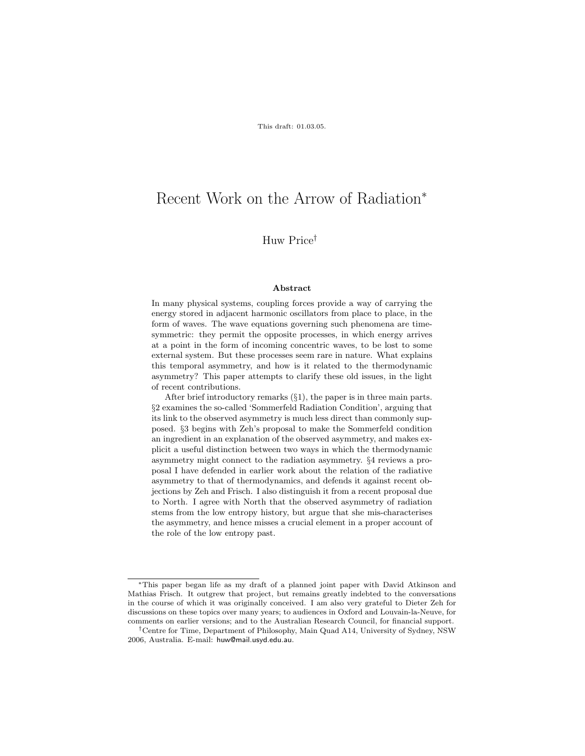# Recent Work on the Arrow of Radiation<sup>∗</sup>

# Huw Price†

#### Abstract

In many physical systems, coupling forces provide a way of carrying the energy stored in adjacent harmonic oscillators from place to place, in the form of waves. The wave equations governing such phenomena are timesymmetric: they permit the opposite processes, in which energy arrives at a point in the form of incoming concentric waves, to be lost to some external system. But these processes seem rare in nature. What explains this temporal asymmetry, and how is it related to the thermodynamic asymmetry? This paper attempts to clarify these old issues, in the light of recent contributions.

After brief introductory remarks (§1), the paper is in three main parts. §2 examines the so-called 'Sommerfeld Radiation Condition', arguing that its link to the observed asymmetry is much less direct than commonly supposed. §3 begins with Zeh's proposal to make the Sommerfeld condition an ingredient in an explanation of the observed asymmetry, and makes explicit a useful distinction between two ways in which the thermodynamic asymmetry might connect to the radiation asymmetry. §4 reviews a proposal I have defended in earlier work about the relation of the radiative asymmetry to that of thermodynamics, and defends it against recent objections by Zeh and Frisch. I also distinguish it from a recent proposal due to North. I agree with North that the observed asymmetry of radiation stems from the low entropy history, but argue that she mis-characterises the asymmetry, and hence misses a crucial element in a proper account of the role of the low entropy past.

<sup>∗</sup>This paper began life as my draft of a planned joint paper with David Atkinson and Mathias Frisch. It outgrew that project, but remains greatly indebted to the conversations in the course of which it was originally conceived. I am also very grateful to Dieter Zeh for discussions on these topics over many years; to audiences in Oxford and Louvain-la-Neuve, for comments on earlier versions; and to the Australian Research Council, for financial support.

<sup>†</sup>Centre for Time, Department of Philosophy, Main Quad A14, University of Sydney, NSW 2006, Australia. E-mail: huw@mail.usyd.edu.au.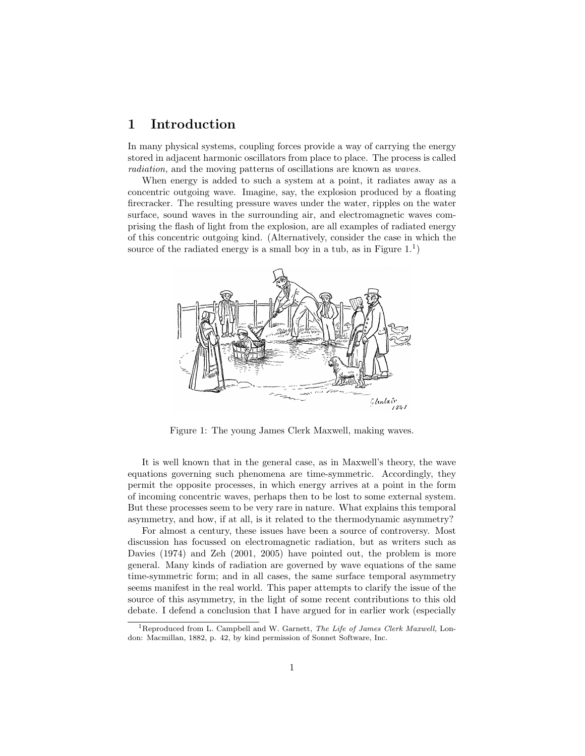# 1 Introduction

In many physical systems, coupling forces provide a way of carrying the energy stored in adjacent harmonic oscillators from place to place. The process is called radiation, and the moving patterns of oscillations are known as *waves*.

When energy is added to such a system at a point, it radiates away as a concentric outgoing wave. Imagine, say, the explosion produced by a floating firecracker. The resulting pressure waves under the water, ripples on the water surface, sound waves in the surrounding air, and electromagnetic waves comprising the flash of light from the explosion, are all examples of radiated energy of this concentric outgoing kind. (Alternatively, consider the case in which the source of the radiated energy is a small boy in a tub, as in Figure  $1.1$ )



Figure 1: The young James Clerk Maxwell, making waves.

It is well known that in the general case, as in Maxwell's theory, the wave equations governing such phenomena are time-symmetric. Accordingly, they permit the opposite processes, in which energy arrives at a point in the form of incoming concentric waves, perhaps then to be lost to some external system. But these processes seem to be very rare in nature. What explains this temporal asymmetry, and how, if at all, is it related to the thermodynamic asymmetry?

source of this asymmetry, in the light of some recent contributions to this old For almost a century, these issues have been a source of controversy. Most discussion has focussed on electromagnetic radiation, but as writers such as general. Many kinds of radiation are governed by wave equations of the same time-symmetric form; and in all cases, the same surface temporal asymmetry seems manifest in the real world. This paper attempts to clarify the issue of the Davies (1974) and Zeh (2001, 2005) have pointed out, the problem is more debate. I defend a conclusion that I have argued for in earlier work (especially

<sup>1</sup>Reproduced from L. Campbell and W. Garnett, The Life of James Clerk Maxwell, London: Macmillan, 1882, p. 42, by kind permission of Sonnet Software, Inc.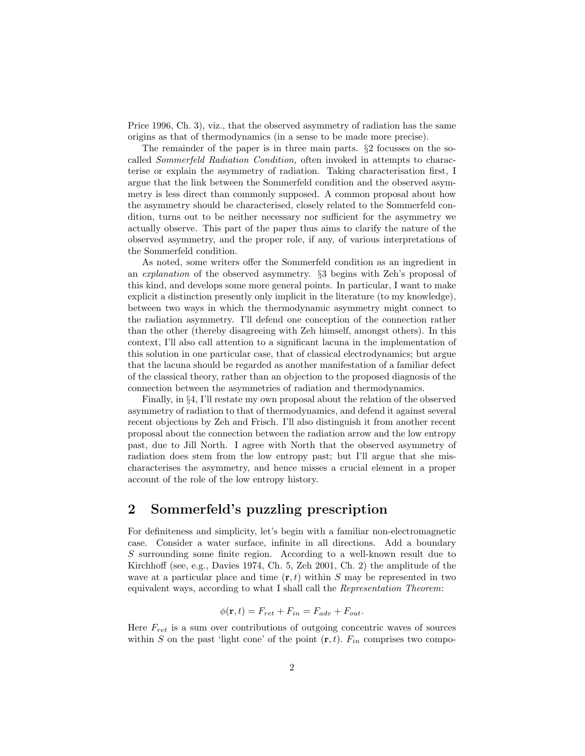Price 1996, Ch. 3), viz., that the observed asymmetry of radiation has the same origins as that of thermodynamics (in a sense to be made more precise).

The remainder of the paper is in three main parts.  $\S2$  focusses on the socalled Sommerfeld Radiation Condition, often invoked in attempts to characterise or explain the asymmetry of radiation. Taking characterisation first, I argue that the link between the Sommerfeld condition and the observed asymmetry is less direct than commonly supposed. A common proposal about how the asymmetry should be characterised, closely related to the Sommerfeld condition, turns out to be neither necessary nor sufficient for the asymmetry we actually observe. This part of the paper thus aims to clarify the nature of the observed asymmetry, and the proper role, if any, of various interpretations of the Sommerfeld condition.

As noted, some writers offer the Sommerfeld condition as an ingredient in an explanation of the observed asymmetry. §3 begins with Zeh's proposal of this kind, and develops some more general points. In particular, I want to make explicit a distinction presently only implicit in the literature (to my knowledge), between two ways in which the thermodynamic asymmetry might connect to the radiation asymmetry. I'll defend one conception of the connection rather than the other (thereby disagreeing with Zeh himself, amongst others). In this context, I'll also call attention to a significant lacuna in the implementation of this solution in one particular case, that of classical electrodynamics; but argue that the lacuna should be regarded as another manifestation of a familiar defect of the classical theory, rather than an objection to the proposed diagnosis of the connection between the asymmetries of radiation and thermodynamics.

Finally, in §4, I'll restate my own proposal about the relation of the observed asymmetry of radiation to that of thermodynamics, and defend it against several recent objections by Zeh and Frisch. I'll also distinguish it from another recent proposal about the connection between the radiation arrow and the low entropy past, due to Jill North. I agree with North that the observed asymmetry of radiation does stem from the low entropy past; but I'll argue that she mischaracterises the asymmetry, and hence misses a crucial element in a proper account of the role of the low entropy history.

# 2 Sommerfeld's puzzling prescription

For definiteness and simplicity, let's begin with a familiar non-electromagnetic case. Consider a water surface, infinite in all directions. Add a boundary S surrounding some finite region. According to a well-known result due to Kirchhoff (see, e.g., Davies 1974, Ch. 5, Zeh 2001, Ch. 2) the amplitude of the wave at a particular place and time  $(r, t)$  within S may be represented in two equivalent ways, according to what I shall call the Representation Theorem:

$$
\phi(\mathbf{r},t) = F_{ret} + F_{in} = F_{adv} + F_{out}.
$$

Here  $F_{ret}$  is a sum over contributions of outgoing concentric waves of sources within S on the past 'light cone' of the point  $(\mathbf{r}, t)$ .  $F_{in}$  comprises two compo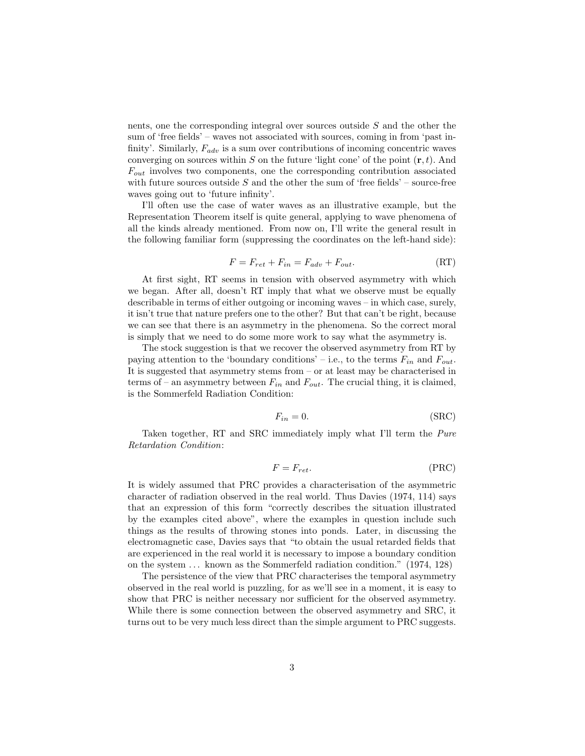nents, one the corresponding integral over sources outside S and the other the sum of 'free fields' – waves not associated with sources, coming in from 'past infinity'. Similarly,  $F_{adv}$  is a sum over contributions of incoming concentric waves converging on sources within S on the future 'light cone' of the point  $(\mathbf{r}, t)$ . And  $F_{out}$  involves two components, one the corresponding contribution associated with future sources outside  $S$  and the other the sum of 'free fields' – source-free waves going out to 'future infinity'.

I'll often use the case of water waves as an illustrative example, but the Representation Theorem itself is quite general, applying to wave phenomena of all the kinds already mentioned. From now on, I'll write the general result in the following familiar form (suppressing the coordinates on the left-hand side):

$$
F = F_{ret} + F_{in} = F_{adv} + F_{out}.
$$
 (RT)

At first sight, RT seems in tension with observed asymmetry with which we began. After all, doesn't RT imply that what we observe must be equally describable in terms of either outgoing or incoming waves – in which case, surely, it isn't true that nature prefers one to the other? But that can't be right, because we can see that there is an asymmetry in the phenomena. So the correct moral is simply that we need to do some more work to say what the asymmetry is.

The stock suggestion is that we recover the observed asymmetry from RT by paying attention to the 'boundary conditions' – i.e., to the terms  $F_{in}$  and  $F_{out}$ . It is suggested that asymmetry stems from – or at least may be characterised in terms of – an asymmetry between  $F_{in}$  and  $F_{out}$ . The crucial thing, it is claimed, is the Sommerfeld Radiation Condition:

$$
F_{in} = 0.\t\t(SRC)
$$

Taken together, RT and SRC immediately imply what I'll term the Pure Retardation Condition:

$$
F = F_{ret}.
$$
 (PRC)

It is widely assumed that PRC provides a characterisation of the asymmetric character of radiation observed in the real world. Thus Davies (1974, 114) says that an expression of this form "correctly describes the situation illustrated by the examples cited above", where the examples in question include such things as the results of throwing stones into ponds. Later, in discussing the electromagnetic case, Davies says that "to obtain the usual retarded fields that are experienced in the real world it is necessary to impose a boundary condition on the system . . . known as the Sommerfeld radiation condition." (1974, 128)

The persistence of the view that PRC characterises the temporal asymmetry observed in the real world is puzzling, for as we'll see in a moment, it is easy to show that PRC is neither necessary nor sufficient for the observed asymmetry. While there is some connection between the observed asymmetry and SRC, it turns out to be very much less direct than the simple argument to PRC suggests.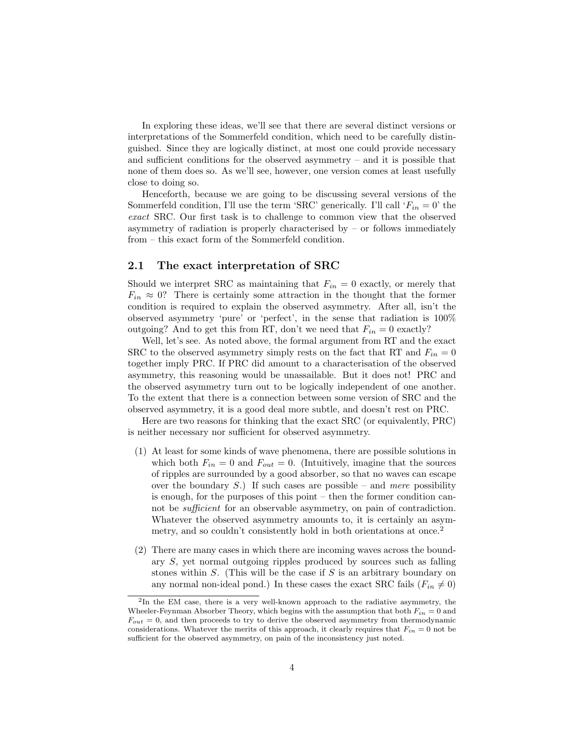In exploring these ideas, we'll see that there are several distinct versions or interpretations of the Sommerfeld condition, which need to be carefully distinguished. Since they are logically distinct, at most one could provide necessary and sufficient conditions for the observed asymmetry – and it is possible that none of them does so. As we'll see, however, one version comes at least usefully close to doing so.

Henceforth, because we are going to be discussing several versions of the Sommerfeld condition, I'll use the term 'SRC' generically. I'll call ' $F_{in} = 0$ ' the exact SRC. Our first task is to challenge to common view that the observed asymmetry of radiation is properly characterised by – or follows immediately from – this exact form of the Sommerfeld condition.

# 2.1 The exact interpretation of SRC

Should we interpret SRC as maintaining that  $F_{in} = 0$  exactly, or merely that  $F_{in} \approx 0$ ? There is certainly some attraction in the thought that the former condition is required to explain the observed asymmetry. After all, isn't the observed asymmetry 'pure' or 'perfect', in the sense that radiation is 100% outgoing? And to get this from RT, don't we need that  $F_{in} = 0$  exactly?

Well, let's see. As noted above, the formal argument from RT and the exact SRC to the observed asymmetry simply rests on the fact that RT and  $F_{in} = 0$ together imply PRC. If PRC did amount to a characterisation of the observed asymmetry, this reasoning would be unassailable. But it does not! PRC and the observed asymmetry turn out to be logically independent of one another. To the extent that there is a connection between some version of SRC and the observed asymmetry, it is a good deal more subtle, and doesn't rest on PRC.

Here are two reasons for thinking that the exact SRC (or equivalently, PRC) is neither necessary nor sufficient for observed asymmetry.

- (1) At least for some kinds of wave phenomena, there are possible solutions in which both  $F_{in} = 0$  and  $F_{out} = 0$ . (Intuitively, imagine that the sources of ripples are surrounded by a good absorber, so that no waves can escape over the boundary S.) If such cases are possible – and mere possibility is enough, for the purposes of this point – then the former condition cannot be sufficient for an observable asymmetry, on pain of contradiction. Whatever the observed asymmetry amounts to, it is certainly an asymmetry, and so couldn't consistently hold in both orientations at once.<sup>2</sup>
- (2) There are many cases in which there are incoming waves across the boundary S, yet normal outgoing ripples produced by sources such as falling stones within  $S$ . (This will be the case if  $S$  is an arbitrary boundary on any normal non-ideal pond.) In these cases the exact SRC fails ( $F_{in} \neq 0$ )

<sup>2</sup> In the EM case, there is a very well-known approach to the radiative asymmetry, the Wheeler-Feynman Absorber Theory, which begins with the assumption that both  $F_{in} = 0$  and  $F_{out} = 0$ , and then proceeds to try to derive the observed asymmetry from thermodynamic considerations. Whatever the merits of this approach, it clearly requires that  $F_{in} = 0$  not be sufficient for the observed asymmetry, on pain of the inconsistency just noted.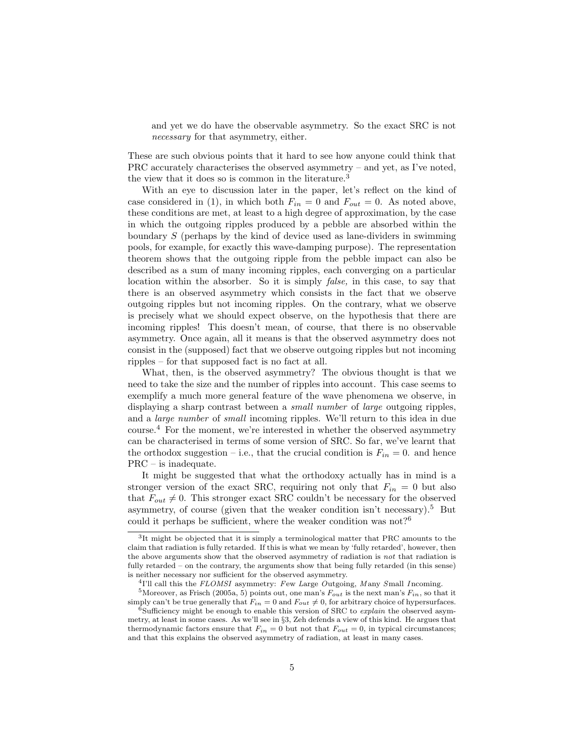and yet we do have the observable asymmetry. So the exact SRC is not necessary for that asymmetry, either.

These are such obvious points that it hard to see how anyone could think that PRC accurately characterises the observed asymmetry – and yet, as I've noted, the view that it does so is common in the literature.<sup>3</sup>

With an eye to discussion later in the paper, let's reflect on the kind of case considered in (1), in which both  $F_{in} = 0$  and  $F_{out} = 0$ . As noted above, these conditions are met, at least to a high degree of approximation, by the case in which the outgoing ripples produced by a pebble are absorbed within the boundary S (perhaps by the kind of device used as lane-dividers in swimming pools, for example, for exactly this wave-damping purpose). The representation theorem shows that the outgoing ripple from the pebble impact can also be described as a sum of many incoming ripples, each converging on a particular location within the absorber. So it is simply false, in this case, to say that there is an observed asymmetry which consists in the fact that we observe outgoing ripples but not incoming ripples. On the contrary, what we observe is precisely what we should expect observe, on the hypothesis that there are incoming ripples! This doesn't mean, of course, that there is no observable asymmetry. Once again, all it means is that the observed asymmetry does not consist in the (supposed) fact that we observe outgoing ripples but not incoming ripples – for that supposed fact is no fact at all.

What, then, is the observed asymmetry? The obvious thought is that we need to take the size and the number of ripples into account. This case seems to exemplify a much more general feature of the wave phenomena we observe, in displaying a sharp contrast between a *small number* of *large* outgoing ripples, and a large number of small incoming ripples. We'll return to this idea in due course.<sup>4</sup> For the moment, we're interested in whether the observed asymmetry can be characterised in terms of some version of SRC. So far, we've learnt that the orthodox suggestion – i.e., that the crucial condition is  $F_{in} = 0$ . and hence PRC – is inadequate.

It might be suggested that what the orthodoxy actually has in mind is a stronger version of the exact SRC, requiring not only that  $F_{in} = 0$  but also that  $F_{out} \neq 0$ . This stronger exact SRC couldn't be necessary for the observed asymmetry, of course (given that the weaker condition isn't necessary).<sup>5</sup> But could it perhaps be sufficient, where the weaker condition was  $\mathrm{not?}^6$ 

<sup>&</sup>lt;sup>3</sup>It might be objected that it is simply a terminological matter that PRC amounts to the claim that radiation is fully retarded. If this is what we mean by 'fully retarded', however, then the above arguments show that the observed asymmetry of radiation is not that radiation is fully retarded – on the contrary, the arguments show that being fully retarded (in this sense) is neither necessary nor sufficient for the observed asymmetry.

 $^{4}$ I'll call this the FLOMSI asymmetry: Few Large Outgoing, Many Small Incoming.

<sup>&</sup>lt;sup>5</sup>Moreover, as Frisch (2005a, 5) points out, one man's  $F_{out}$  is the next man's  $F_{in}$ , so that it simply can't be true generally that  $F_{in} = 0$  and  $F_{out} \neq 0$ , for arbitrary choice of hypersurfaces.

 $6S$ ufficiency might be enough to enable this version of SRC to *explain* the observed asymmetry, at least in some cases. As we'll see in §3, Zeh defends a view of this kind. He argues that thermodynamic factors ensure that  $F_{in} = 0$  but not that  $F_{out} = 0$ , in typical circumstances; and that this explains the observed asymmetry of radiation, at least in many cases.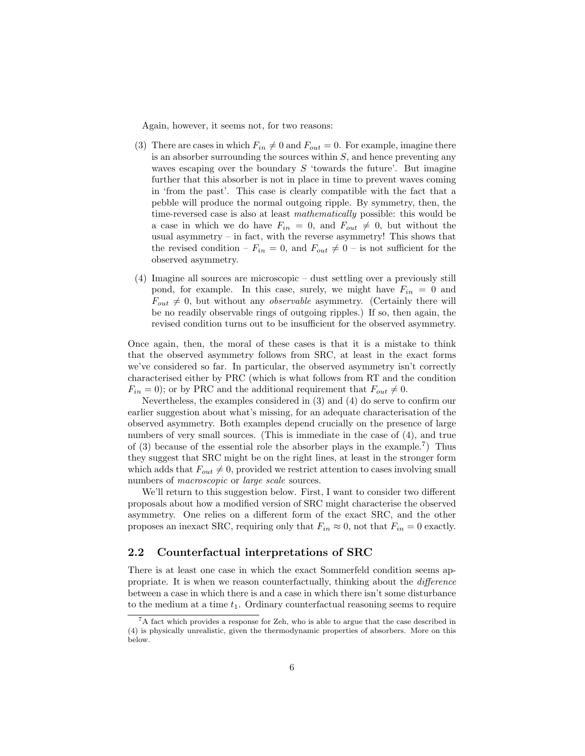Again, however, it seems not, for two reasons:

- (3) There are cases in which  $F_{in} \neq 0$  and  $F_{out} = 0$ . For example, imagine there is an absorber surrounding the sources within  $S$ , and hence preventing any waves escaping over the boundary  $S$  'towards the future'. But imagine further that this absorber is not in place in time to prevent waves coming in 'from the past'. This case is clearly compatible with the fact that a pebble will produce the normal outgoing ripple. By symmetry, then, the time-reversed case is also at least mathematically possible: this would be a case in which we do have  $F_{in} = 0$ , and  $F_{out} \neq 0$ , but without the usual asymmetry – in fact, with the reverse asymmetry! This shows that the revised condition –  $F_{in} = 0$ , and  $F_{out} \neq 0$  – is not sufficient for the observed asymmetry.
- (4) Imagine all sources are microscopic dust settling over a previously still pond, for example. In this case, surely, we might have  $F_{in} = 0$  and  $F_{out} \neq 0$ , but without any *observable* asymmetry. (Certainly there will be no readily observable rings of outgoing ripples.) If so, then again, the revised condition turns out to be insufficient for the observed asymmetry.

Once again, then, the moral of these cases is that it is a mistake to think that the observed asymmetry follows from SRC, at least in the exact forms we've considered so far. In particular, the observed asymmetry isn't correctly characterised either by PRC (which is what follows from RT and the condition  $F_{in} = 0$ ; or by PRC and the additional requirement that  $F_{out} \neq 0$ .

Nevertheless, the examples considered in (3) and (4) do serve to confirm our earlier suggestion about what's missing, for an adequate characterisation of the observed asymmetry. Both examples depend crucially on the presence of large numbers of very small sources. (This is immediate in the case of (4), and true of  $(3)$  because of the essential role the absorber plays in the example.<sup>7</sup>) Thus they suggest that SRC might be on the right lines, at least in the stronger form which adds that  $F_{out} \neq 0$ , provided we restrict attention to cases involving small numbers of *macroscopic* or *large scale* sources.

We'll return to this suggestion below. First, I want to consider two different proposals about how a modified version of SRC might characterise the observed asymmetry. One relies on a different form of the exact SRC, and the other proposes an inexact SRC, requiring only that  $F_{in} \approx 0$ , not that  $F_{in} = 0$  exactly.

# 2.2 Counterfactual interpretations of SRC

There is at least one case in which the exact Sommerfeld condition seems appropriate. It is when we reason counterfactually, thinking about the difference between a case in which there is and a case in which there isn't some disturbance to the medium at a time  $t_1$ . Ordinary counterfactual reasoning seems to require

 ${}^{7}$ A fact which provides a response for Zeh, who is able to argue that the case described in (4) is physically unrealistic, given the thermodynamic properties of absorbers. More on this below.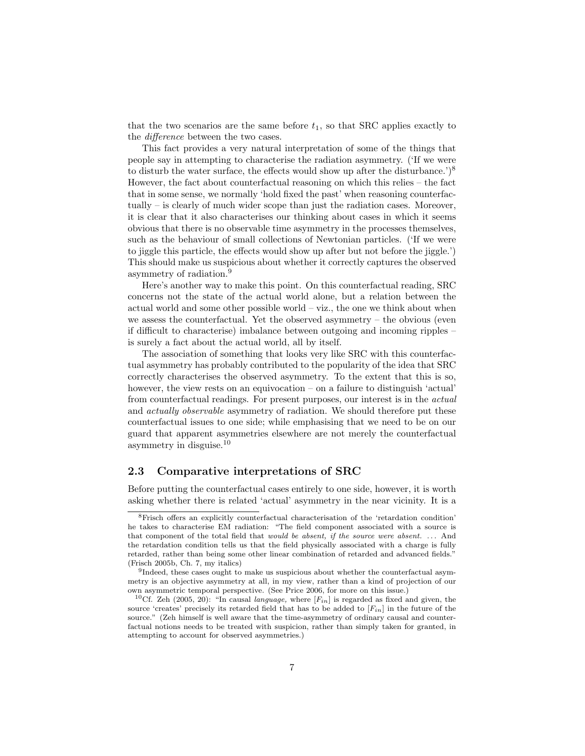that the two scenarios are the same before  $t_1$ , so that SRC applies exactly to the difference between the two cases.

This fact provides a very natural interpretation of some of the things that people say in attempting to characterise the radiation asymmetry. ('If we were to disturb the water surface, the effects would show up after the disturbance.')<sup>8</sup> However, the fact about counterfactual reasoning on which this relies – the fact that in some sense, we normally 'hold fixed the past' when reasoning counterfactually – is clearly of much wider scope than just the radiation cases. Moreover, it is clear that it also characterises our thinking about cases in which it seems obvious that there is no observable time asymmetry in the processes themselves, such as the behaviour of small collections of Newtonian particles. ('If we were to jiggle this particle, the effects would show up after but not before the jiggle.') This should make us suspicious about whether it correctly captures the observed asymmetry of radiation.<sup>9</sup>

Here's another way to make this point. On this counterfactual reading, SRC concerns not the state of the actual world alone, but a relation between the actual world and some other possible world – viz., the one we think about when we assess the counterfactual. Yet the observed asymmetry  $-$  the obvious (even if difficult to characterise) imbalance between outgoing and incoming ripples – is surely a fact about the actual world, all by itself.

The association of something that looks very like SRC with this counterfactual asymmetry has probably contributed to the popularity of the idea that SRC correctly characterises the observed asymmetry. To the extent that this is so, however, the view rests on an equivocation – on a failure to distinguish 'actual' from counterfactual readings. For present purposes, our interest is in the actual and actually observable asymmetry of radiation. We should therefore put these counterfactual issues to one side; while emphasising that we need to be on our guard that apparent asymmetries elsewhere are not merely the counterfactual asymmetry in disguise.<sup>10</sup>

#### 2.3 Comparative interpretations of SRC

Before putting the counterfactual cases entirely to one side, however, it is worth asking whether there is related 'actual' asymmetry in the near vicinity. It is a

<sup>8</sup>Frisch offers an explicitly counterfactual characterisation of the 'retardation condition' he takes to characterise EM radiation: "The field component associated with a source is that component of the total field that would be absent, if the source were absent. ... And the retardation condition tells us that the field physically associated with a charge is fully retarded, rather than being some other linear combination of retarded and advanced fields." (Frisch 2005b, Ch. 7, my italics)

<sup>&</sup>lt;sup>9</sup>Indeed, these cases ought to make us suspicious about whether the counterfactual asymmetry is an objective asymmetry at all, in my view, rather than a kind of projection of our own asymmetric temporal perspective. (See Price 2006, for more on this issue.)

<sup>&</sup>lt;sup>10</sup>Cf. Zeh (2005, 20): "In causal language, where  $[F_{in}]$  is regarded as fixed and given, the source 'creates' precisely its retarded field that has to be added to  $[F_{in}]$  in the future of the source." (Zeh himself is well aware that the time-asymmetry of ordinary causal and counterfactual notions needs to be treated with suspicion, rather than simply taken for granted, in attempting to account for observed asymmetries.)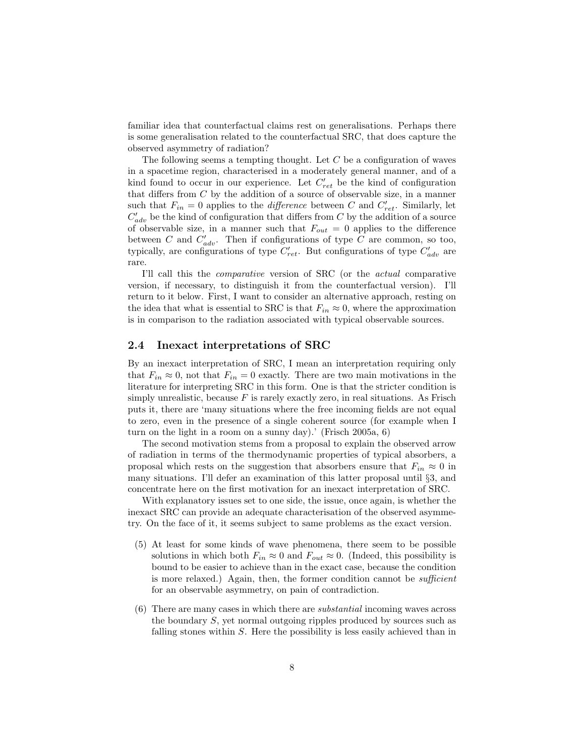familiar idea that counterfactual claims rest on generalisations. Perhaps there is some generalisation related to the counterfactual SRC, that does capture the observed asymmetry of radiation?

The following seems a tempting thought. Let  $C$  be a configuration of waves in a spacetime region, characterised in a moderately general manner, and of a kind found to occur in our experience. Let  $C'_{ret}$  be the kind of configuration that differs from C by the addition of a source of observable size, in a manner such that  $F_{in} = 0$  applies to the *difference* between C and  $C'_{ret}$ . Similarly, let  $C'_{adv}$  be the kind of configuration that differs from  $C$  by the addition of a source of observable size, in a manner such that  $F_{out} = 0$  applies to the difference between C and  $C'_{adv}$ . Then if configurations of type C are common, so too, typically, are configurations of type  $C'_{ret}$ . But configurations of type  $C'_{adv}$  are rare.

I'll call this the comparative version of SRC (or the actual comparative version, if necessary, to distinguish it from the counterfactual version). I'll return to it below. First, I want to consider an alternative approach, resting on the idea that what is essential to SRC is that  $F_{in} \approx 0$ , where the approximation is in comparison to the radiation associated with typical observable sources.

## 2.4 Inexact interpretations of SRC

By an inexact interpretation of SRC, I mean an interpretation requiring only that  $F_{in} \approx 0$ , not that  $F_{in} = 0$  exactly. There are two main motivations in the literature for interpreting SRC in this form. One is that the stricter condition is simply unrealistic, because  $F$  is rarely exactly zero, in real situations. As Frisch puts it, there are 'many situations where the free incoming fields are not equal to zero, even in the presence of a single coherent source (for example when I turn on the light in a room on a sunny day).' (Frisch 2005a, 6)

The second motivation stems from a proposal to explain the observed arrow of radiation in terms of the thermodynamic properties of typical absorbers, a proposal which rests on the suggestion that absorbers ensure that  $F_{in} \approx 0$  in many situations. I'll defer an examination of this latter proposal until §3, and concentrate here on the first motivation for an inexact interpretation of SRC.

With explanatory issues set to one side, the issue, once again, is whether the inexact SRC can provide an adequate characterisation of the observed asymmetry. On the face of it, it seems subject to same problems as the exact version.

- (5) At least for some kinds of wave phenomena, there seem to be possible solutions in which both  $F_{in} \approx 0$  and  $F_{out} \approx 0$ . (Indeed, this possibility is bound to be easier to achieve than in the exact case, because the condition is more relaxed.) Again, then, the former condition cannot be *sufficient* for an observable asymmetry, on pain of contradiction.
- (6) There are many cases in which there are substantial incoming waves across the boundary S, yet normal outgoing ripples produced by sources such as falling stones within S. Here the possibility is less easily achieved than in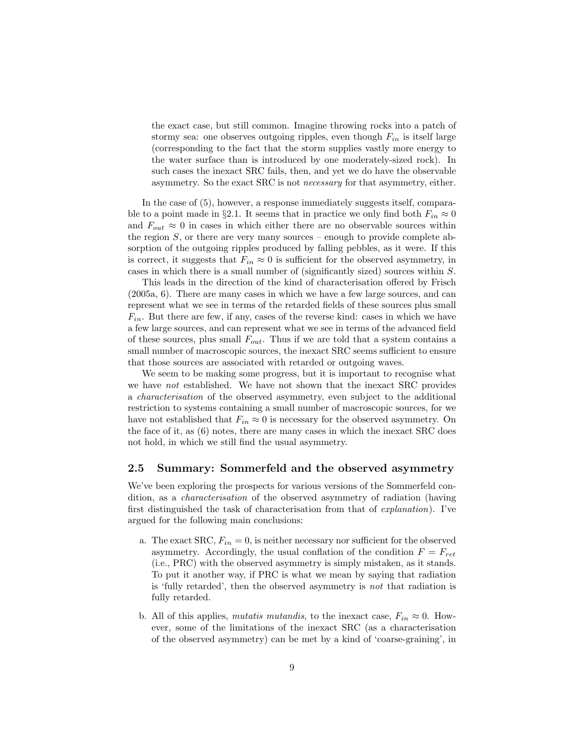the exact case, but still common. Imagine throwing rocks into a patch of stormy sea: one observes outgoing ripples, even though  $F_{in}$  is itself large (corresponding to the fact that the storm supplies vastly more energy to the water surface than is introduced by one moderately-sized rock). In such cases the inexact SRC fails, then, and yet we do have the observable asymmetry. So the exact SRC is not necessary for that asymmetry, either.

In the case of (5), however, a response immediately suggests itself, comparable to a point made in §2.1. It seems that in practice we only find both  $F_{in} \approx 0$ and  $F_{out} \approx 0$  in cases in which either there are no observable sources within the region  $S$ , or there are very many sources – enough to provide complete absorption of the outgoing ripples produced by falling pebbles, as it were. If this is correct, it suggests that  $F_{in} \approx 0$  is sufficient for the observed asymmetry, in cases in which there is a small number of (significantly sized) sources within S.

This leads in the direction of the kind of characterisation offered by Frisch (2005a, 6). There are many cases in which we have a few large sources, and can represent what we see in terms of the retarded fields of these sources plus small  $F_{in}$ . But there are few, if any, cases of the reverse kind: cases in which we have a few large sources, and can represent what we see in terms of the advanced field of these sources, plus small  $F_{out}$ . Thus if we are told that a system contains a small number of macroscopic sources, the inexact SRC seems sufficient to ensure that those sources are associated with retarded or outgoing waves.

We seem to be making some progress, but it is important to recognise what we have not established. We have not shown that the inexact SRC provides a characterisation of the observed asymmetry, even subject to the additional restriction to systems containing a small number of macroscopic sources, for we have not established that  $F_{in} \approx 0$  is necessary for the observed asymmetry. On the face of it, as (6) notes, there are many cases in which the inexact SRC does not hold, in which we still find the usual asymmetry.

#### 2.5 Summary: Sommerfeld and the observed asymmetry

We've been exploring the prospects for various versions of the Sommerfeld condition, as a characterisation of the observed asymmetry of radiation (having first distinguished the task of characterisation from that of explanation). I've argued for the following main conclusions:

- a. The exact SRC,  $F_{in} = 0$ , is neither necessary nor sufficient for the observed asymmetry. Accordingly, the usual conflation of the condition  $F = F_{ret}$ (i.e., PRC) with the observed asymmetry is simply mistaken, as it stands. To put it another way, if PRC is what we mean by saying that radiation is 'fully retarded', then the observed asymmetry is not that radiation is fully retarded.
- b. All of this applies, mutatis mutandis, to the inexact case,  $F_{in} \approx 0$ . However, some of the limitations of the inexact SRC (as a characterisation of the observed asymmetry) can be met by a kind of 'coarse-graining', in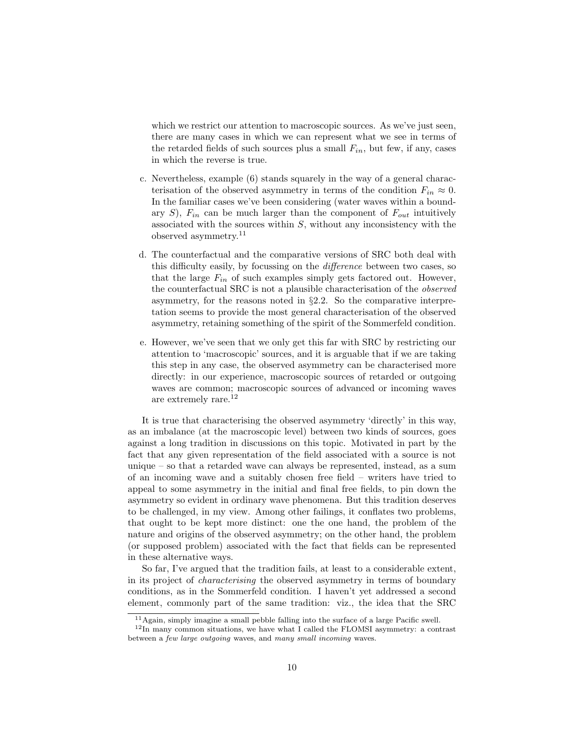which we restrict our attention to macroscopic sources. As we've just seen, there are many cases in which we can represent what we see in terms of the retarded fields of such sources plus a small  $F_{in}$ , but few, if any, cases in which the reverse is true.

- c. Nevertheless, example (6) stands squarely in the way of a general characterisation of the observed asymmetry in terms of the condition  $F_{in} \approx 0$ . In the familiar cases we've been considering (water waves within a boundary S),  $F_{in}$  can be much larger than the component of  $F_{out}$  intuitively associated with the sources within  $S$ , without any inconsistency with the observed asymmetry.<sup>11</sup>
- d. The counterfactual and the comparative versions of SRC both deal with this difficulty easily, by focussing on the difference between two cases, so that the large  $F_{in}$  of such examples simply gets factored out. However, the counterfactual SRC is not a plausible characterisation of the observed asymmetry, for the reasons noted in §2.2. So the comparative interpretation seems to provide the most general characterisation of the observed asymmetry, retaining something of the spirit of the Sommerfeld condition.
- e. However, we've seen that we only get this far with SRC by restricting our attention to 'macroscopic' sources, and it is arguable that if we are taking this step in any case, the observed asymmetry can be characterised more directly: in our experience, macroscopic sources of retarded or outgoing waves are common; macroscopic sources of advanced or incoming waves are extremely rare.<sup>12</sup>

It is true that characterising the observed asymmetry 'directly' in this way, as an imbalance (at the macroscopic level) between two kinds of sources, goes against a long tradition in discussions on this topic. Motivated in part by the fact that any given representation of the field associated with a source is not unique – so that a retarded wave can always be represented, instead, as a sum of an incoming wave and a suitably chosen free field – writers have tried to appeal to some asymmetry in the initial and final free fields, to pin down the asymmetry so evident in ordinary wave phenomena. But this tradition deserves to be challenged, in my view. Among other failings, it conflates two problems, that ought to be kept more distinct: one the one hand, the problem of the nature and origins of the observed asymmetry; on the other hand, the problem (or supposed problem) associated with the fact that fields can be represented in these alternative ways.

So far, I've argued that the tradition fails, at least to a considerable extent, in its project of characterising the observed asymmetry in terms of boundary conditions, as in the Sommerfeld condition. I haven't yet addressed a second element, commonly part of the same tradition: viz., the idea that the SRC

 $11$ Again, simply imagine a small pebble falling into the surface of a large Pacific swell.

<sup>&</sup>lt;sup>12</sup>In many common situations, we have what I called the FLOMSI asymmetry: a contrast between a few large outgoing waves, and many small incoming waves.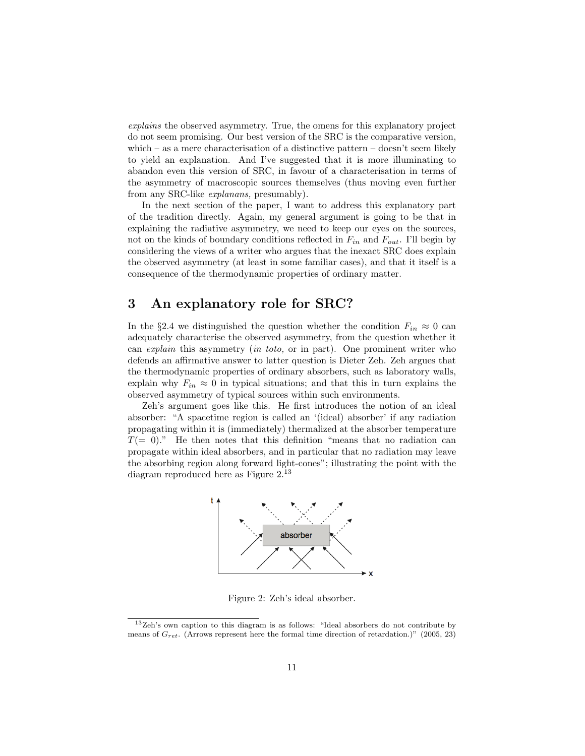explains the observed asymmetry. True, the omens for this explanatory project do not seem promising. Our best version of the SRC is the comparative version, which – as a mere characterisation of a distinctive pattern – doesn't seem likely to yield an explanation. And I've suggested that it is more illuminating to abandon even this version of SRC, in favour of a characterisation in terms of the asymmetry of macroscopic sources themselves (thus moving even further from any SRC-like explanans, presumably).

In the next section of the paper, I want to address this explanatory part of the tradition directly. Again, my general argument is going to be that in explaining the radiative asymmetry, we need to keep our eyes on the sources, not on the kinds of boundary conditions reflected in  $F_{in}$  and  $F_{out}$ . I'll begin by considering the views of a writer who argues that the inexact SRC does explain the observed asymmetry (at least in some familiar cases), and that it itself is a consequence of the thermodynamic properties of ordinary matter.

# 3 An explanatory role for SRC?

In the §2.4 we distinguished the question whether the condition  $F_{in} \approx 0$  can adequately characterise the observed asymmetry, from the question whether it can explain this asymmetry (in toto, or in part). One prominent writer who defends an affirmative answer to latter question is Dieter Zeh. Zeh argues that the thermodynamic properties of ordinary absorbers, such as laboratory walls, explain why  $F_{in} \approx 0$  in typical situations; and that this in turn explains the observed asymmetry of typical sources within such environments.

Zeh's argument goes like this. He first introduces the notion of an ideal absorber: "A spacetime region is called an '(ideal) absorber' if any radiation propagating within it is (immediately) thermalized at the absorber temperature  $T(= 0)$ ." He then notes that this definition "means that no radiation can propagate within ideal absorbers, and in particular that no radiation may leave the absorbing region along forward light-cones"; illustrating the point with the diagram reproduced here as Figure 2.<sup>13</sup>



Figure 2: Zeh's ideal absorber.

<sup>13</sup>Zeh's own caption to this diagram is as follows: "Ideal absorbers do not contribute by means of  $G_{ret}$ . (Arrows represent here the formal time direction of retardation.)" (2005, 23)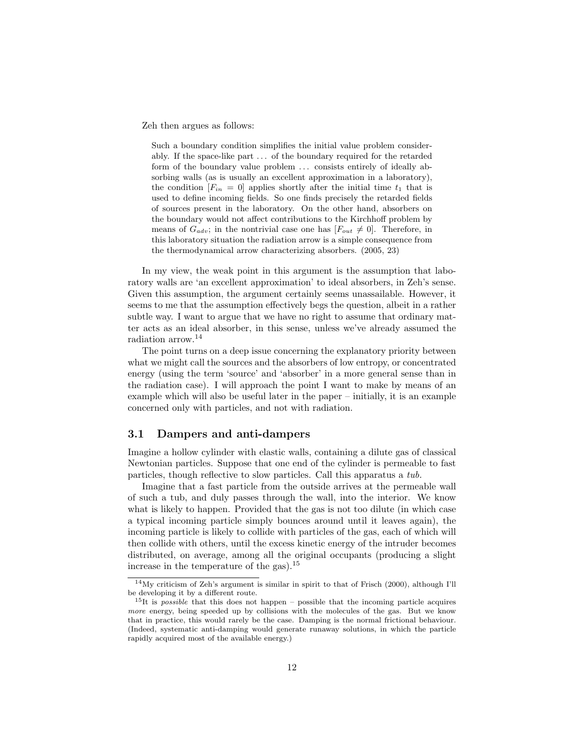Zeh then argues as follows:

Such a boundary condition simplifies the initial value problem considerably. If the space-like part . . . of the boundary required for the retarded form of the boundary value problem ... consists entirely of ideally absorbing walls (as is usually an excellent approximation in a laboratory), the condition  $[F_{in} = 0]$  applies shortly after the initial time  $t_1$  that is used to define incoming fields. So one finds precisely the retarded fields of sources present in the laboratory. On the other hand, absorbers on the boundary would not affect contributions to the Kirchhoff problem by means of  $G_{adv}$ ; in the nontrivial case one has  $[F_{out} \neq 0]$ . Therefore, in this laboratory situation the radiation arrow is a simple consequence from the thermodynamical arrow characterizing absorbers. (2005, 23)

In my view, the weak point in this argument is the assumption that laboratory walls are 'an excellent approximation' to ideal absorbers, in Zeh's sense. Given this assumption, the argument certainly seems unassailable. However, it seems to me that the assumption effectively begs the question, albeit in a rather subtle way. I want to argue that we have no right to assume that ordinary matter acts as an ideal absorber, in this sense, unless we've already assumed the radiation arrow.<sup>14</sup>

The point turns on a deep issue concerning the explanatory priority between what we might call the sources and the absorbers of low entropy, or concentrated energy (using the term 'source' and 'absorber' in a more general sense than in the radiation case). I will approach the point I want to make by means of an example which will also be useful later in the paper – initially, it is an example concerned only with particles, and not with radiation.

#### 3.1 Dampers and anti-dampers

Imagine a hollow cylinder with elastic walls, containing a dilute gas of classical Newtonian particles. Suppose that one end of the cylinder is permeable to fast particles, though reflective to slow particles. Call this apparatus a tub.

Imagine that a fast particle from the outside arrives at the permeable wall of such a tub, and duly passes through the wall, into the interior. We know what is likely to happen. Provided that the gas is not too dilute (in which case a typical incoming particle simply bounces around until it leaves again), the incoming particle is likely to collide with particles of the gas, each of which will then collide with others, until the excess kinetic energy of the intruder becomes distributed, on average, among all the original occupants (producing a slight increase in the temperature of the gas).<sup>15</sup>

 $14\,\text{My}$  criticism of Zeh's argument is similar in spirit to that of Frisch (2000), although I'll be developing it by a different route.

<sup>&</sup>lt;sup>15</sup>It is *possible* that this does not happen – possible that the incoming particle acquires more energy, being speeded up by collisions with the molecules of the gas. But we know that in practice, this would rarely be the case. Damping is the normal frictional behaviour. (Indeed, systematic anti-damping would generate runaway solutions, in which the particle rapidly acquired most of the available energy.)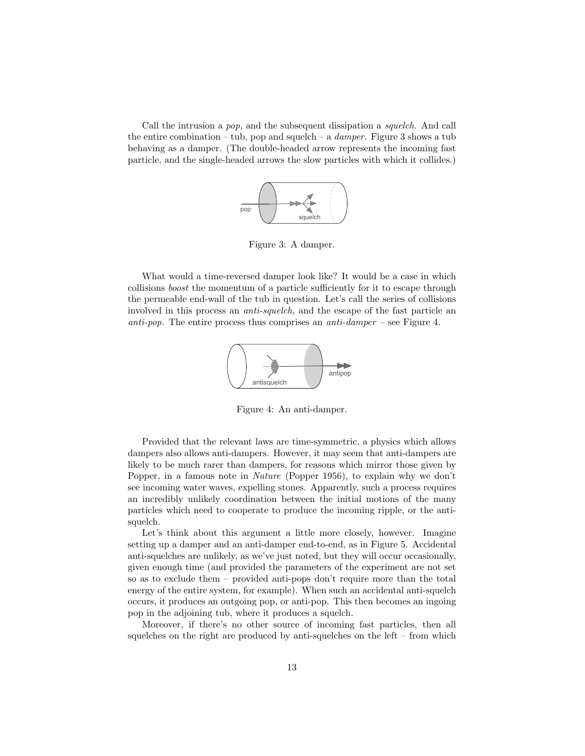Call the intrusion a *pop*, and the subsequent dissipation a *squelch*. And call the entire combination – tub, pop and squelch – a *damper*. Figure 3 shows a tub behaving as a damper. (The double-headed arrow represents the incoming fast particle, and the single-headed arrows the slow particles with which it collides.)



Figure 3: A damper.

What would a time-reversed damper look like? It would be a case in which collisions boost the momentum of a particle sufficiently for it to escape through the permeable end-wall of the tub in question. Let's call the series of collisions involved in this process an anti-squelch, and the escape of the fast particle an anti-pop. The entire process thus comprises an anti-damper – see Figure 4.



Figure 4: An anti-damper.

Provided that the relevant laws are time-symmetric, a physics which allows dampers also allows anti-dampers. However, it may seem that anti-dampers are likely to be much rarer than dampers, for reasons which mirror those given by Popper, in a famous note in Nature (Popper 1956), to explain why we don't see incoming water waves, expelling stones. Apparently, such a process requires an incredibly unlikely coordination between the initial motions of the many particles which need to cooperate to produce the incoming ripple, or the antisquelch.

Let's think about this argument a little more closely, however. Imagine setting up a damper and an anti-damper end-to-end, as in Figure 5. Accidental anti-squelches are unlikely, as we've just noted, but they will occur occasionally, given enough time (and provided the parameters of the experiment are not set so as to exclude them – provided anti-pops don't require more than the total energy of the entire system, for example). When such an accidental anti-squelch occurs, it produces an outgoing pop, or anti-pop. This then becomes an ingoing pop in the adjoining tub, where it produces a squelch.

Moreover, if there's no other source of incoming fast particles, then all squelches on the right are produced by anti-squelches on the left – from which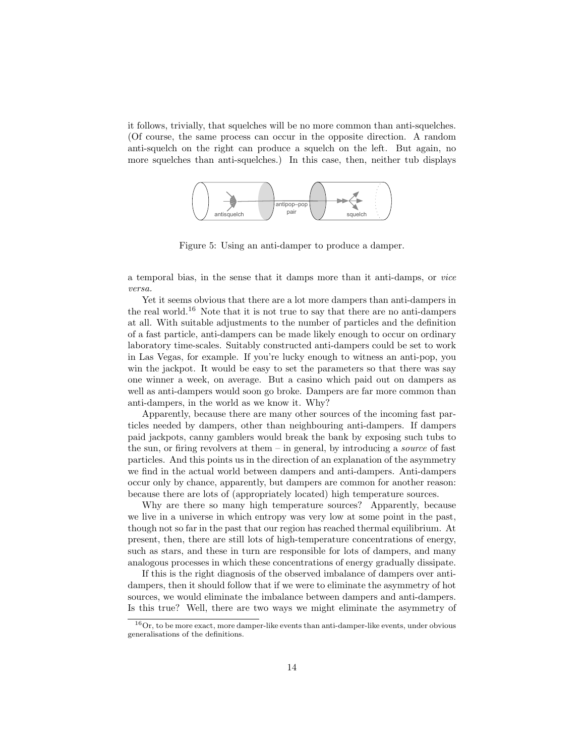it follows, trivially, that squelches will be no more common than anti-squelches. (Of course, the same process can occur in the opposite direction. A random anti-squelch on the right can produce a squelch on the left. But again, no more squelches than anti-squelches.) In this case, then, neither tub displays



Figure 5: Using an anti-damper to produce a damper.

a temporal bias, in the sense that it damps more than it anti-damps, or vice versa.

Yet it seems obvious that there are a lot more dampers than anti-dampers in the real world.<sup>16</sup> Note that it is not true to say that there are no anti-dampers at all. With suitable adjustments to the number of particles and the definition of a fast particle, anti-dampers can be made likely enough to occur on ordinary laboratory time-scales. Suitably constructed anti-dampers could be set to work in Las Vegas, for example. If you're lucky enough to witness an anti-pop, you win the jackpot. It would be easy to set the parameters so that there was say one winner a week, on average. But a casino which paid out on dampers as well as anti-dampers would soon go broke. Dampers are far more common than anti-dampers, in the world as we know it. Why?

Apparently, because there are many other sources of the incoming fast particles needed by dampers, other than neighbouring anti-dampers. If dampers paid jackpots, canny gamblers would break the bank by exposing such tubs to the sun, or firing revolvers at them  $-$  in general, by introducing a *source* of fast particles. And this points us in the direction of an explanation of the asymmetry we find in the actual world between dampers and anti-dampers. Anti-dampers occur only by chance, apparently, but dampers are common for another reason: because there are lots of (appropriately located) high temperature sources.

Why are there so many high temperature sources? Apparently, because we live in a universe in which entropy was very low at some point in the past, though not so far in the past that our region has reached thermal equilibrium. At present, then, there are still lots of high-temperature concentrations of energy, such as stars, and these in turn are responsible for lots of dampers, and many analogous processes in which these concentrations of energy gradually dissipate.

If this is the right diagnosis of the observed imbalance of dampers over antidampers, then it should follow that if we were to eliminate the asymmetry of hot sources, we would eliminate the imbalance between dampers and anti-dampers. Is this true? Well, there are two ways we might eliminate the asymmetry of

 $^{16}$ Or, to be more exact, more damper-like events than anti-damper-like events, under obvious generalisations of the definitions.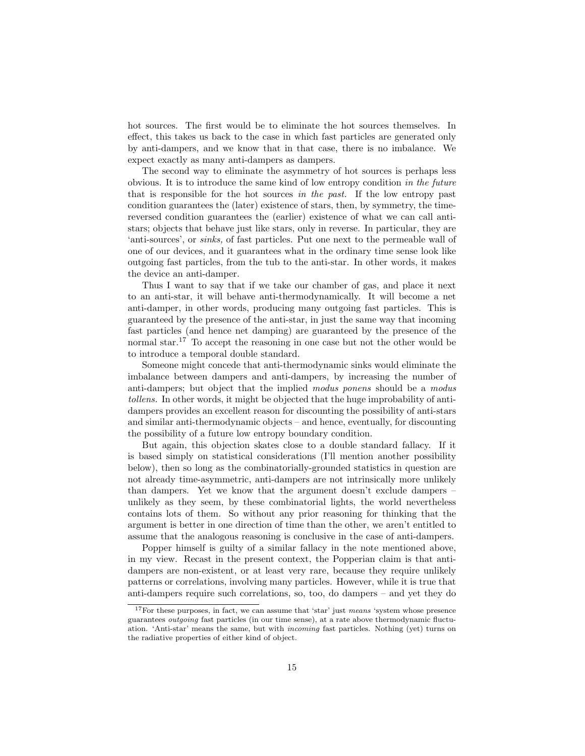hot sources. The first would be to eliminate the hot sources themselves. In effect, this takes us back to the case in which fast particles are generated only by anti-dampers, and we know that in that case, there is no imbalance. We expect exactly as many anti-dampers as dampers.

The second way to eliminate the asymmetry of hot sources is perhaps less obvious. It is to introduce the same kind of low entropy condition in the future that is responsible for the hot sources in the past. If the low entropy past condition guarantees the (later) existence of stars, then, by symmetry, the timereversed condition guarantees the (earlier) existence of what we can call antistars; objects that behave just like stars, only in reverse. In particular, they are 'anti-sources', or sinks, of fast particles. Put one next to the permeable wall of one of our devices, and it guarantees what in the ordinary time sense look like outgoing fast particles, from the tub to the anti-star. In other words, it makes the device an anti-damper.

Thus I want to say that if we take our chamber of gas, and place it next to an anti-star, it will behave anti-thermodynamically. It will become a net anti-damper, in other words, producing many outgoing fast particles. This is guaranteed by the presence of the anti-star, in just the same way that incoming fast particles (and hence net damping) are guaranteed by the presence of the normal star.<sup>17</sup> To accept the reasoning in one case but not the other would be to introduce a temporal double standard.

Someone might concede that anti-thermodynamic sinks would eliminate the imbalance between dampers and anti-dampers, by increasing the number of anti-dampers; but object that the implied modus ponens should be a modus tollens. In other words, it might be objected that the huge improbability of antidampers provides an excellent reason for discounting the possibility of anti-stars and similar anti-thermodynamic objects – and hence, eventually, for discounting the possibility of a future low entropy boundary condition.

But again, this objection skates close to a double standard fallacy. If it is based simply on statistical considerations (I'll mention another possibility below), then so long as the combinatorially-grounded statistics in question are not already time-asymmetric, anti-dampers are not intrinsically more unlikely than dampers. Yet we know that the argument doesn't exclude dampers – unlikely as they seem, by these combinatorial lights, the world nevertheless contains lots of them. So without any prior reasoning for thinking that the argument is better in one direction of time than the other, we aren't entitled to assume that the analogous reasoning is conclusive in the case of anti-dampers.

Popper himself is guilty of a similar fallacy in the note mentioned above, in my view. Recast in the present context, the Popperian claim is that antidampers are non-existent, or at least very rare, because they require unlikely patterns or correlations, involving many particles. However, while it is true that anti-dampers require such correlations, so, too, do dampers – and yet they do

<sup>&</sup>lt;sup>17</sup>For these purposes, in fact, we can assume that 'star' just means 'system whose presence guarantees *outgoing* fast particles (in our time sense), at a rate above thermodynamic fluctuation. 'Anti-star' means the same, but with incoming fast particles. Nothing (yet) turns on the radiative properties of either kind of object.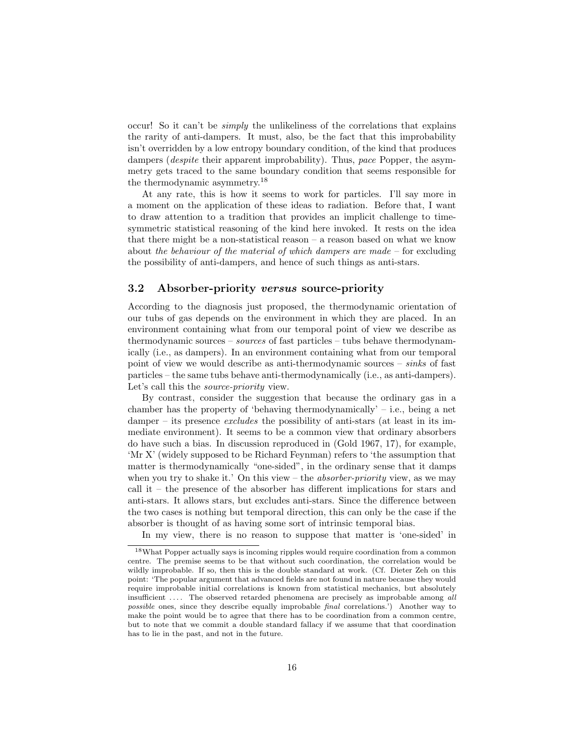occur! So it can't be simply the unlikeliness of the correlations that explains the rarity of anti-dampers. It must, also, be the fact that this improbability isn't overridden by a low entropy boundary condition, of the kind that produces dampers *(despite their apparent improbability)*. Thus, *pace Popper*, the asymmetry gets traced to the same boundary condition that seems responsible for the thermodynamic asymmetry.<sup>18</sup>

At any rate, this is how it seems to work for particles. I'll say more in a moment on the application of these ideas to radiation. Before that, I want to draw attention to a tradition that provides an implicit challenge to timesymmetric statistical reasoning of the kind here invoked. It rests on the idea that there might be a non-statistical reason – a reason based on what we know about the behaviour of the material of which dampers are made  $-$  for excluding the possibility of anti-dampers, and hence of such things as anti-stars.

# 3.2 Absorber-priority versus source-priority

According to the diagnosis just proposed, the thermodynamic orientation of our tubs of gas depends on the environment in which they are placed. In an environment containing what from our temporal point of view we describe as thermodynamic sources – *sources* of fast particles – tubs behave thermodynamically (i.e., as dampers). In an environment containing what from our temporal point of view we would describe as anti-thermodynamic sources – sinks of fast particles – the same tubs behave anti-thermodynamically (i.e., as anti-dampers). Let's call this the *source-priority* view.

By contrast, consider the suggestion that because the ordinary gas in a chamber has the property of 'behaving thermodynamically' – i.e., being a net damper – its presence *excludes* the possibility of anti-stars (at least in its immediate environment). It seems to be a common view that ordinary absorbers do have such a bias. In discussion reproduced in (Gold 1967, 17), for example, 'Mr X' (widely supposed to be Richard Feynman) refers to 'the assumption that matter is thermodynamically "one-sided", in the ordinary sense that it damps when you try to shake it.' On this view – the *absorber-priority* view, as we may call it – the presence of the absorber has different implications for stars and anti-stars. It allows stars, but excludes anti-stars. Since the difference between the two cases is nothing but temporal direction, this can only be the case if the absorber is thought of as having some sort of intrinsic temporal bias.

In my view, there is no reason to suppose that matter is 'one-sided' in

<sup>18</sup>What Popper actually says is incoming ripples would require coordination from a common centre. The premise seems to be that without such coordination, the correlation would be wildly improbable. If so, then this is the double standard at work. (Cf. Dieter Zeh on this point: 'The popular argument that advanced fields are not found in nature because they would require improbable initial correlations is known from statistical mechanics, but absolutely insufficient .... The observed retarded phenomena are precisely as improbable among all possible ones, since they describe equally improbable final correlations.') Another way to make the point would be to agree that there has to be coordination from a common centre, but to note that we commit a double standard fallacy if we assume that that coordination has to lie in the past, and not in the future.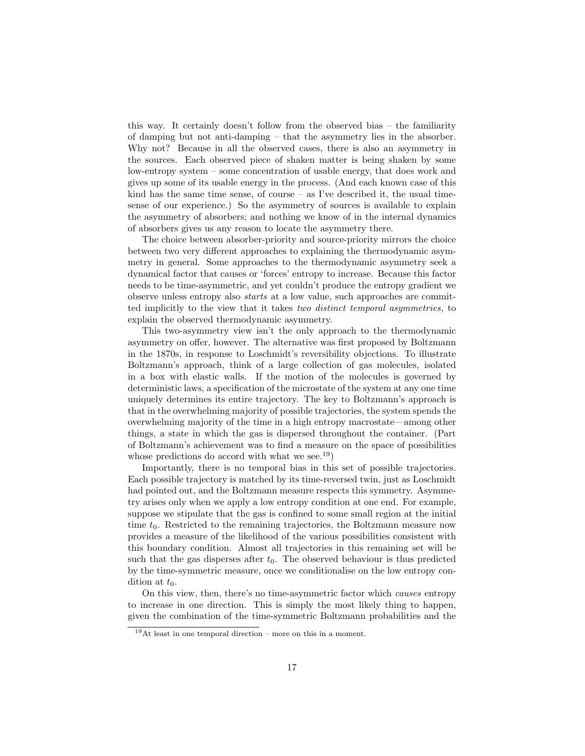this way. It certainly doesn't follow from the observed bias – the familiarity of damping but not anti-damping – that the asymmetry lies in the absorber. Why not? Because in all the observed cases, there is also an asymmetry in the sources. Each observed piece of shaken matter is being shaken by some low-entropy system – some concentration of usable energy, that does work and gives up some of its usable energy in the process. (And each known case of this kind has the same time sense, of course – as I've described it, the usual timesense of our experience.) So the asymmetry of sources is available to explain the asymmetry of absorbers; and nothing we know of in the internal dynamics of absorbers gives us any reason to locate the asymmetry there.

The choice between absorber-priority and source-priority mirrors the choice between two very different approaches to explaining the thermodynamic asymmetry in general. Some approaches to the thermodynamic asymmetry seek a dynamical factor that causes or 'forces' entropy to increase. Because this factor needs to be time-asymmetric, and yet couldn't produce the entropy gradient we observe unless entropy also starts at a low value, such approaches are committed implicitly to the view that it takes two distinct temporal asymmetries, to explain the observed thermodynamic asymmetry.

This two-asymmetry view isn't the only approach to the thermodynamic asymmetry on offer, however. The alternative was first proposed by Boltzmann in the 1870s, in response to Loschmidt's reversibility objections. To illustrate Boltzmann's approach, think of a large collection of gas molecules, isolated in a box with elastic walls. If the motion of the molecules is governed by deterministic laws, a specification of the microstate of the system at any one time uniquely determines its entire trajectory. The key to Boltzmann's approach is that in the overwhelming majority of possible trajectories, the system spends the overwhelming majority of the time in a high entropy macrostate—among other things, a state in which the gas is dispersed throughout the container. (Part of Boltzmann's achievement was to find a measure on the space of possibilities whose predictions do accord with what we see.<sup>19</sup>)

Importantly, there is no temporal bias in this set of possible trajectories. Each possible trajectory is matched by its time-reversed twin, just as Loschmidt had pointed out, and the Boltzmann measure respects this symmetry. Asymmetry arises only when we apply a low entropy condition at one end. For example, suppose we stipulate that the gas is confined to some small region at the initial time  $t_0$ . Restricted to the remaining trajectories, the Boltzmann measure now provides a measure of the likelihood of the various possibilities consistent with this boundary condition. Almost all trajectories in this remaining set will be such that the gas disperses after  $t_0$ . The observed behaviour is thus predicted by the time-symmetric measure, once we conditionalise on the low entropy condition at  $t_0$ .

On this view, then, there's no time-asymmetric factor which causes entropy to increase in one direction. This is simply the most likely thing to happen, given the combination of the time-symmetric Boltzmann probabilities and the

<sup>19</sup>At least in one temporal direction – more on this in a moment.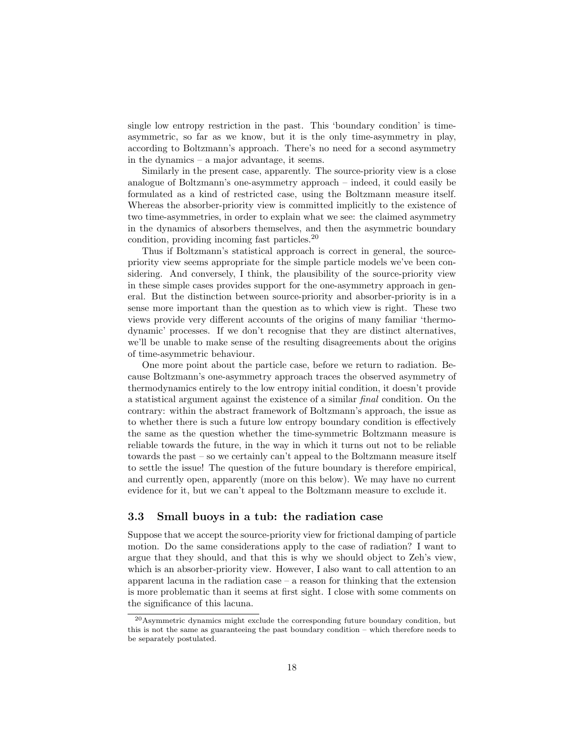single low entropy restriction in the past. This 'boundary condition' is timeasymmetric, so far as we know, but it is the only time-asymmetry in play, according to Boltzmann's approach. There's no need for a second asymmetry in the dynamics – a major advantage, it seems.

Similarly in the present case, apparently. The source-priority view is a close analogue of Boltzmann's one-asymmetry approach – indeed, it could easily be formulated as a kind of restricted case, using the Boltzmann measure itself. Whereas the absorber-priority view is committed implicitly to the existence of two time-asymmetries, in order to explain what we see: the claimed asymmetry in the dynamics of absorbers themselves, and then the asymmetric boundary condition, providing incoming fast particles.<sup>20</sup>

Thus if Boltzmann's statistical approach is correct in general, the sourcepriority view seems appropriate for the simple particle models we've been considering. And conversely, I think, the plausibility of the source-priority view in these simple cases provides support for the one-asymmetry approach in general. But the distinction between source-priority and absorber-priority is in a sense more important than the question as to which view is right. These two views provide very different accounts of the origins of many familiar 'thermodynamic' processes. If we don't recognise that they are distinct alternatives, we'll be unable to make sense of the resulting disagreements about the origins of time-asymmetric behaviour.

One more point about the particle case, before we return to radiation. Because Boltzmann's one-asymmetry approach traces the observed asymmetry of thermodynamics entirely to the low entropy initial condition, it doesn't provide a statistical argument against the existence of a similar final condition. On the contrary: within the abstract framework of Boltzmann's approach, the issue as to whether there is such a future low entropy boundary condition is effectively the same as the question whether the time-symmetric Boltzmann measure is reliable towards the future, in the way in which it turns out not to be reliable towards the past – so we certainly can't appeal to the Boltzmann measure itself to settle the issue! The question of the future boundary is therefore empirical, and currently open, apparently (more on this below). We may have no current evidence for it, but we can't appeal to the Boltzmann measure to exclude it.

## 3.3 Small buoys in a tub: the radiation case

Suppose that we accept the source-priority view for frictional damping of particle motion. Do the same considerations apply to the case of radiation? I want to argue that they should, and that this is why we should object to Zeh's view, which is an absorber-priority view. However, I also want to call attention to an apparent lacuna in the radiation case  $-$  a reason for thinking that the extension is more problematic than it seems at first sight. I close with some comments on the significance of this lacuna.

<sup>20</sup>Asymmetric dynamics might exclude the corresponding future boundary condition, but this is not the same as guaranteeing the past boundary condition – which therefore needs to be separately postulated.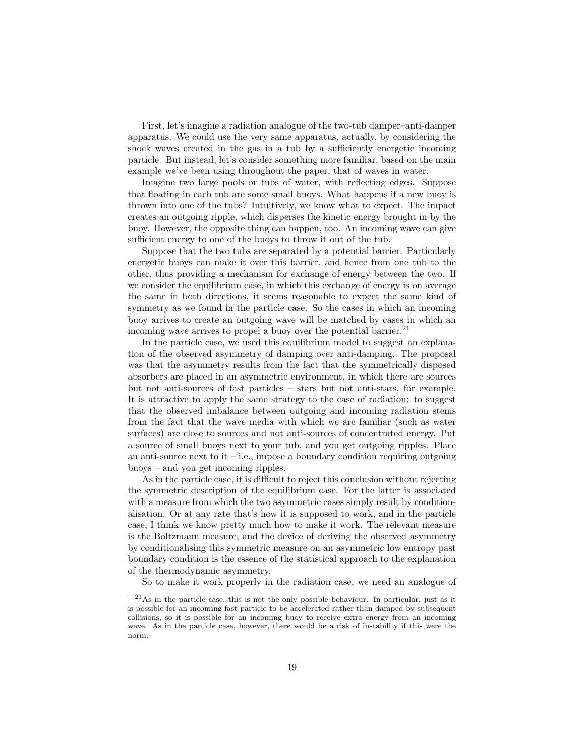First, let's imagine a radiation analogue of the two-tub damper–anti-damper apparatus. We could use the very same apparatus, actually, by considering the shock waves created in the gas in a tub by a sufficiently energetic incoming particle. But instead, let's consider something more familiar, based on the main example we've been using throughout the paper, that of waves in water.

Imagine two large pools or tubs of water, with reflecting edges. Suppose that floating in each tub are some small buoys. What happens if a new buoy is thrown into one of the tubs? Intuitively, we know what to expect. The impact creates an outgoing ripple, which disperses the kinetic energy brought in by the buoy. However, the opposite thing can happen, too. An incoming wave can give sufficient energy to one of the buoys to throw it out of the tub.

Suppose that the two tubs are separated by a potential barrier. Particularly energetic buoys can make it over this barrier, and hence from one tub to the other, thus providing a mechanism for exchange of energy between the two. If we consider the equilibrium case, in which this exchange of energy is on average the same in both directions, it seems reasonable to expect the same kind of symmetry as we found in the particle case. So the cases in which an incoming buoy arrives to create an outgoing wave will be matched by cases in which an incoming wave arrives to propel a buoy over the potential barrier.<sup>21</sup>

In the particle case, we used this equilibrium model to suggest an explanation of the observed asymmetry of damping over anti-damping. The proposal was that the asymmetry results from the fact that the symmetrically disposed absorbers are placed in an asymmetric environment, in which there are sources but not anti-sources of fast particles – stars but not anti-stars, for example. It is attractive to apply the same strategy to the case of radiation: to suggest that the observed imbalance between outgoing and incoming radiation stems from the fact that the wave media with which we are familiar (such as water surfaces) are close to sources and not anti-sources of concentrated energy. Put a source of small buoys next to your tub, and you get outgoing ripples. Place an anti-source next to it – i.e., impose a boundary condition requiring outgoing buoys – and you get incoming ripples.

As in the particle case, it is difficult to reject this conclusion without rejecting the symmetric description of the equilibrium case. For the latter is associated with a measure from which the two asymmetric cases simply result by conditionalisation. Or at any rate that's how it is supposed to work, and in the particle case, I think we know pretty much how to make it work. The relevant measure is the Boltzmann measure, and the device of deriving the observed asymmetry by conditionalising this symmetric measure on an asymmetric low entropy past boundary condition is the essence of the statistical approach to the explanation of the thermodynamic asymmetry.

So to make it work properly in the radiation case, we need an analogue of

<sup>21</sup>As in the particle case, this is not the only possible behaviour. In particular, just as it is possible for an incoming fast particle to be accelerated rather than damped by subsequent collisions, so it is possible for an incoming buoy to receive extra energy from an incoming wave. As in the particle case, however, there would be a risk of instability if this were the norm.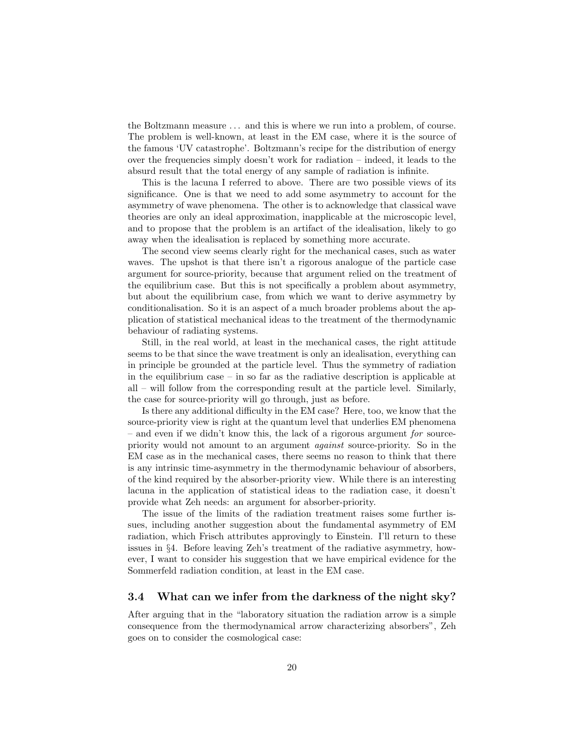the Boltzmann measure . . . and this is where we run into a problem, of course. The problem is well-known, at least in the EM case, where it is the source of the famous 'UV catastrophe'. Boltzmann's recipe for the distribution of energy over the frequencies simply doesn't work for radiation – indeed, it leads to the absurd result that the total energy of any sample of radiation is infinite.

This is the lacuna I referred to above. There are two possible views of its significance. One is that we need to add some asymmetry to account for the asymmetry of wave phenomena. The other is to acknowledge that classical wave theories are only an ideal approximation, inapplicable at the microscopic level, and to propose that the problem is an artifact of the idealisation, likely to go away when the idealisation is replaced by something more accurate.

The second view seems clearly right for the mechanical cases, such as water waves. The upshot is that there isn't a rigorous analogue of the particle case argument for source-priority, because that argument relied on the treatment of the equilibrium case. But this is not specifically a problem about asymmetry, but about the equilibrium case, from which we want to derive asymmetry by conditionalisation. So it is an aspect of a much broader problems about the application of statistical mechanical ideas to the treatment of the thermodynamic behaviour of radiating systems.

Still, in the real world, at least in the mechanical cases, the right attitude seems to be that since the wave treatment is only an idealisation, everything can in principle be grounded at the particle level. Thus the symmetry of radiation in the equilibrium case – in so far as the radiative description is applicable at all – will follow from the corresponding result at the particle level. Similarly, the case for source-priority will go through, just as before.

Is there any additional difficulty in the EM case? Here, too, we know that the source-priority view is right at the quantum level that underlies EM phenomena and even if we didn't know this, the lack of a rigorous argument for sourcepriority would not amount to an argument against source-priority. So in the EM case as in the mechanical cases, there seems no reason to think that there is any intrinsic time-asymmetry in the thermodynamic behaviour of absorbers, of the kind required by the absorber-priority view. While there is an interesting lacuna in the application of statistical ideas to the radiation case, it doesn't provide what Zeh needs: an argument for absorber-priority.

The issue of the limits of the radiation treatment raises some further issues, including another suggestion about the fundamental asymmetry of EM radiation, which Frisch attributes approvingly to Einstein. I'll return to these issues in §4. Before leaving Zeh's treatment of the radiative asymmetry, however, I want to consider his suggestion that we have empirical evidence for the Sommerfeld radiation condition, at least in the EM case.

## 3.4 What can we infer from the darkness of the night sky?

After arguing that in the "laboratory situation the radiation arrow is a simple consequence from the thermodynamical arrow characterizing absorbers", Zeh goes on to consider the cosmological case: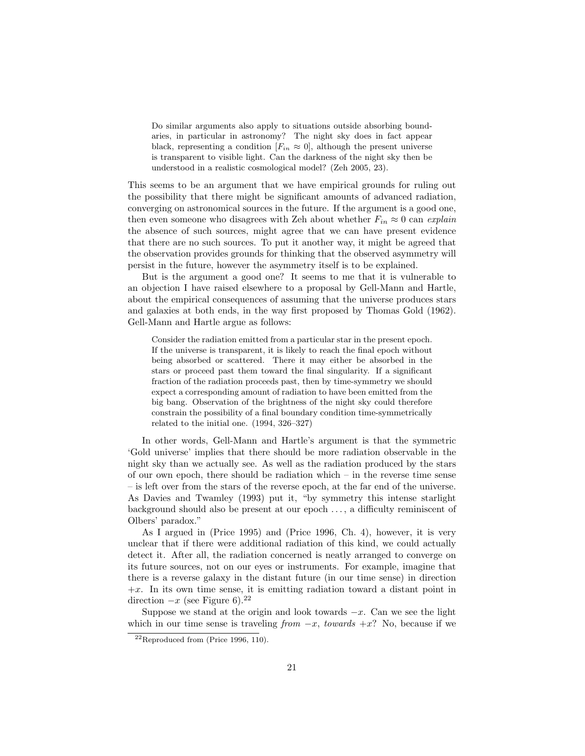Do similar arguments also apply to situations outside absorbing boundaries, in particular in astronomy? The night sky does in fact appear black, representing a condition  $[F_{in} \approx 0]$ , although the present universe is transparent to visible light. Can the darkness of the night sky then be understood in a realistic cosmological model? (Zeh 2005, 23).

This seems to be an argument that we have empirical grounds for ruling out the possibility that there might be significant amounts of advanced radiation, converging on astronomical sources in the future. If the argument is a good one, then even someone who disagrees with Zeh about whether  $F_{in} \approx 0$  can explain the absence of such sources, might agree that we can have present evidence that there are no such sources. To put it another way, it might be agreed that the observation provides grounds for thinking that the observed asymmetry will persist in the future, however the asymmetry itself is to be explained.

But is the argument a good one? It seems to me that it is vulnerable to an objection I have raised elsewhere to a proposal by Gell-Mann and Hartle, about the empirical consequences of assuming that the universe produces stars and galaxies at both ends, in the way first proposed by Thomas Gold (1962). Gell-Mann and Hartle argue as follows:

Consider the radiation emitted from a particular star in the present epoch. If the universe is transparent, it is likely to reach the final epoch without being absorbed or scattered. There it may either be absorbed in the stars or proceed past them toward the final singularity. If a significant fraction of the radiation proceeds past, then by time-symmetry we should expect a corresponding amount of radiation to have been emitted from the big bang. Observation of the brightness of the night sky could therefore constrain the possibility of a final boundary condition time-symmetrically related to the initial one. (1994, 326–327)

In other words, Gell-Mann and Hartle's argument is that the symmetric 'Gold universe' implies that there should be more radiation observable in the night sky than we actually see. As well as the radiation produced by the stars of our own epoch, there should be radiation which – in the reverse time sense – is left over from the stars of the reverse epoch, at the far end of the universe. As Davies and Twamley (1993) put it, "by symmetry this intense starlight background should also be present at our epoch . . . , a difficulty reminiscent of Olbers' paradox."

As I argued in (Price 1995) and (Price 1996, Ch. 4), however, it is very unclear that if there were additional radiation of this kind, we could actually detect it. After all, the radiation concerned is neatly arranged to converge on its future sources, not on our eyes or instruments. For example, imagine that there is a reverse galaxy in the distant future (in our time sense) in direction  $+x$ . In its own time sense, it is emitting radiation toward a distant point in direction  $-x$  (see Figure 6).<sup>22</sup>

Suppose we stand at the origin and look towards  $-x$ . Can we see the light which in our time sense is traveling from  $-x$ , towards  $+x$ ? No, because if we

 $^{22}$ Reproduced from (Price 1996, 110).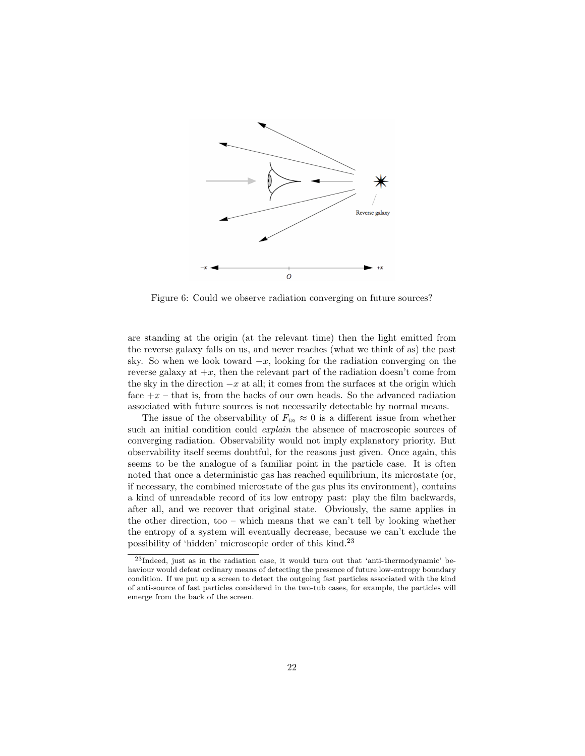

Figure 6: Could we observe radiation converging on future sources?

are standing at the origin (at the relevant time) then the light emitted from the reverse galaxy falls on us, and never reaches (what we think of as) the past sky. So when we look toward  $-x$ , looking for the radiation converging on the reverse galaxy at  $+x$ , then the relevant part of the radiation doesn't come from the sky in the direction  $-x$  at all; it comes from the surfaces at the origin which face  $+x$  – that is, from the backs of our own heads. So the advanced radiation associated with future sources is not necessarily detectable by normal means.

The issue of the observability of  $F_{in} \approx 0$  is a different issue from whether such an initial condition could *explain* the absence of macroscopic sources of converging radiation. Observability would not imply explanatory priority. But observability itself seems doubtful, for the reasons just given. Once again, this seems to be the analogue of a familiar point in the particle case. It is often noted that once a deterministic gas has reached equilibrium, its microstate (or, if necessary, the combined microstate of the gas plus its environment), contains a kind of unreadable record of its low entropy past: play the film backwards, after all, and we recover that original state. Obviously, the same applies in the other direction, too – which means that we can't tell by looking whether the entropy of a system will eventually decrease, because we can't exclude the possibility of 'hidden' microscopic order of this kind.<sup>23</sup>

<sup>23</sup>Indeed, just as in the radiation case, it would turn out that 'anti-thermodynamic' behaviour would defeat ordinary means of detecting the presence of future low-entropy boundary condition. If we put up a screen to detect the outgoing fast particles associated with the kind of anti-source of fast particles considered in the two-tub cases, for example, the particles will emerge from the back of the screen.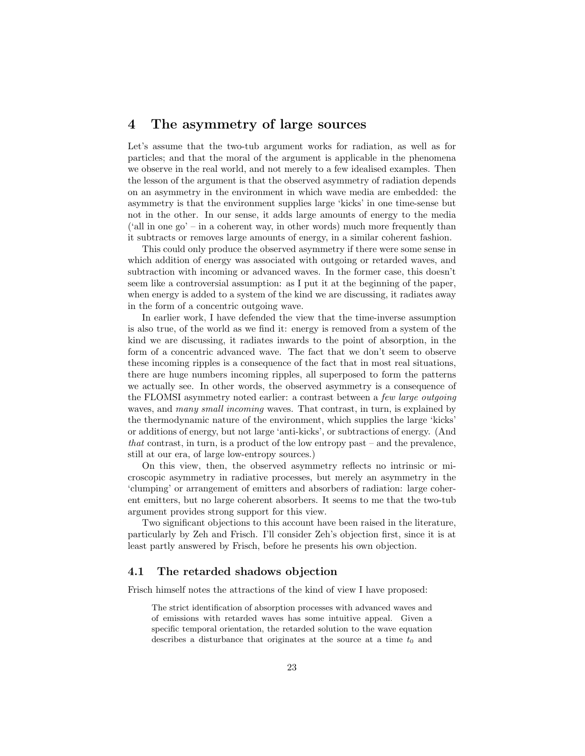# 4 The asymmetry of large sources

Let's assume that the two-tub argument works for radiation, as well as for particles; and that the moral of the argument is applicable in the phenomena we observe in the real world, and not merely to a few idealised examples. Then the lesson of the argument is that the observed asymmetry of radiation depends on an asymmetry in the environment in which wave media are embedded: the asymmetry is that the environment supplies large 'kicks' in one time-sense but not in the other. In our sense, it adds large amounts of energy to the media ('all in one go' – in a coherent way, in other words) much more frequently than it subtracts or removes large amounts of energy, in a similar coherent fashion.

This could only produce the observed asymmetry if there were some sense in which addition of energy was associated with outgoing or retarded waves, and subtraction with incoming or advanced waves. In the former case, this doesn't seem like a controversial assumption: as I put it at the beginning of the paper, when energy is added to a system of the kind we are discussing, it radiates away in the form of a concentric outgoing wave.

In earlier work, I have defended the view that the time-inverse assumption is also true, of the world as we find it: energy is removed from a system of the kind we are discussing, it radiates inwards to the point of absorption, in the form of a concentric advanced wave. The fact that we don't seem to observe these incoming ripples is a consequence of the fact that in most real situations, there are huge numbers incoming ripples, all superposed to form the patterns we actually see. In other words, the observed asymmetry is a consequence of the FLOMSI asymmetry noted earlier: a contrast between a few large outgoing waves, and many small incoming waves. That contrast, in turn, is explained by the thermodynamic nature of the environment, which supplies the large 'kicks' or additions of energy, but not large 'anti-kicks', or subtractions of energy. (And that contrast, in turn, is a product of the low entropy past – and the prevalence, still at our era, of large low-entropy sources.)

On this view, then, the observed asymmetry reflects no intrinsic or microscopic asymmetry in radiative processes, but merely an asymmetry in the 'clumping' or arrangement of emitters and absorbers of radiation: large coherent emitters, but no large coherent absorbers. It seems to me that the two-tub argument provides strong support for this view.

Two significant objections to this account have been raised in the literature, particularly by Zeh and Frisch. I'll consider Zeh's objection first, since it is at least partly answered by Frisch, before he presents his own objection.

# 4.1 The retarded shadows objection

Frisch himself notes the attractions of the kind of view I have proposed:

The strict identification of absorption processes with advanced waves and of emissions with retarded waves has some intuitive appeal. Given a specific temporal orientation, the retarded solution to the wave equation describes a disturbance that originates at the source at a time  $t_0$  and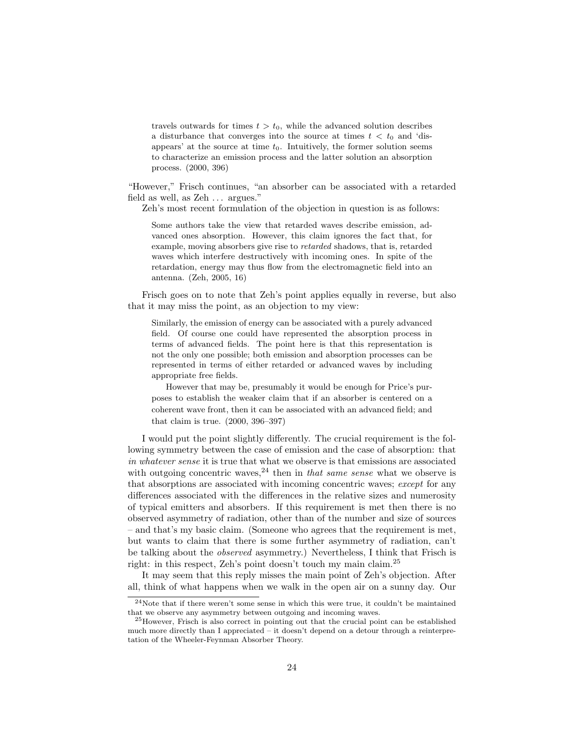travels outwards for times  $t > t_0$ , while the advanced solution describes a disturbance that converges into the source at times  $t < t_0$  and 'disappears' at the source at time  $t_0$ . Intuitively, the former solution seems to characterize an emission process and the latter solution an absorption process. (2000, 396)

"However," Frisch continues, "an absorber can be associated with a retarded field as well, as Zeh ... argues."

Zeh's most recent formulation of the objection in question is as follows:

Some authors take the view that retarded waves describe emission, advanced ones absorption. However, this claim ignores the fact that, for example, moving absorbers give rise to retarded shadows, that is, retarded waves which interfere destructively with incoming ones. In spite of the retardation, energy may thus flow from the electromagnetic field into an antenna. (Zeh, 2005, 16)

Frisch goes on to note that Zeh's point applies equally in reverse, but also that it may miss the point, as an objection to my view:

Similarly, the emission of energy can be associated with a purely advanced field. Of course one could have represented the absorption process in terms of advanced fields. The point here is that this representation is not the only one possible; both emission and absorption processes can be represented in terms of either retarded or advanced waves by including appropriate free fields.

However that may be, presumably it would be enough for Price's purposes to establish the weaker claim that if an absorber is centered on a coherent wave front, then it can be associated with an advanced field; and that claim is true. (2000, 396–397)

I would put the point slightly differently. The crucial requirement is the following symmetry between the case of emission and the case of absorption: that in whatever sense it is true that what we observe is that emissions are associated with outgoing concentric waves,  $24$  then in that same sense what we observe is that absorptions are associated with incoming concentric waves; except for any differences associated with the differences in the relative sizes and numerosity of typical emitters and absorbers. If this requirement is met then there is no observed asymmetry of radiation, other than of the number and size of sources – and that's my basic claim. (Someone who agrees that the requirement is met, but wants to claim that there is some further asymmetry of radiation, can't be talking about the observed asymmetry.) Nevertheless, I think that Frisch is right: in this respect, Zeh's point doesn't touch my main claim.<sup>25</sup>

It may seem that this reply misses the main point of Zeh's objection. After all, think of what happens when we walk in the open air on a sunny day. Our

<sup>&</sup>lt;sup>24</sup>Note that if there weren't some sense in which this were true, it couldn't be maintained that we observe any asymmetry between outgoing and incoming waves.

<sup>&</sup>lt;sup>25</sup>However, Frisch is also correct in pointing out that the crucial point can be established much more directly than I appreciated – it doesn't depend on a detour through a reinterpretation of the Wheeler-Feynman Absorber Theory.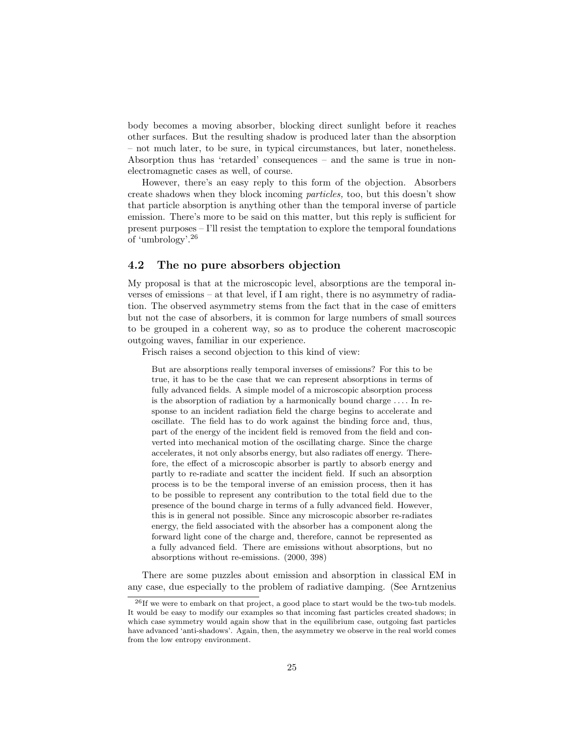body becomes a moving absorber, blocking direct sunlight before it reaches other surfaces. But the resulting shadow is produced later than the absorption – not much later, to be sure, in typical circumstances, but later, nonetheless. Absorption thus has 'retarded' consequences – and the same is true in nonelectromagnetic cases as well, of course.

However, there's an easy reply to this form of the objection. Absorbers create shadows when they block incoming particles, too, but this doesn't show that particle absorption is anything other than the temporal inverse of particle emission. There's more to be said on this matter, but this reply is sufficient for present purposes – I'll resist the temptation to explore the temporal foundations of 'umbrology'.<sup>26</sup>

## 4.2 The no pure absorbers objection

My proposal is that at the microscopic level, absorptions are the temporal inverses of emissions – at that level, if I am right, there is no asymmetry of radiation. The observed asymmetry stems from the fact that in the case of emitters but not the case of absorbers, it is common for large numbers of small sources to be grouped in a coherent way, so as to produce the coherent macroscopic outgoing waves, familiar in our experience.

Frisch raises a second objection to this kind of view:

But are absorptions really temporal inverses of emissions? For this to be true, it has to be the case that we can represent absorptions in terms of fully advanced fields. A simple model of a microscopic absorption process is the absorption of radiation by a harmonically bound charge  $\dots$ . In response to an incident radiation field the charge begins to accelerate and oscillate. The field has to do work against the binding force and, thus, part of the energy of the incident field is removed from the field and converted into mechanical motion of the oscillating charge. Since the charge accelerates, it not only absorbs energy, but also radiates off energy. Therefore, the effect of a microscopic absorber is partly to absorb energy and partly to re-radiate and scatter the incident field. If such an absorption process is to be the temporal inverse of an emission process, then it has to be possible to represent any contribution to the total field due to the presence of the bound charge in terms of a fully advanced field. However, this is in general not possible. Since any microscopic absorber re-radiates energy, the field associated with the absorber has a component along the forward light cone of the charge and, therefore, cannot be represented as a fully advanced field. There are emissions without absorptions, but no absorptions without re-emissions. (2000, 398)

There are some puzzles about emission and absorption in classical EM in any case, due especially to the problem of radiative damping. (See Arntzenius

 $^{26}\mathrm{If}$  we were to embark on that project, a good place to start would be the two-tub models. It would be easy to modify our examples so that incoming fast particles created shadows; in which case symmetry would again show that in the equilibrium case, outgoing fast particles have advanced 'anti-shadows'. Again, then, the asymmetry we observe in the real world comes from the low entropy environment.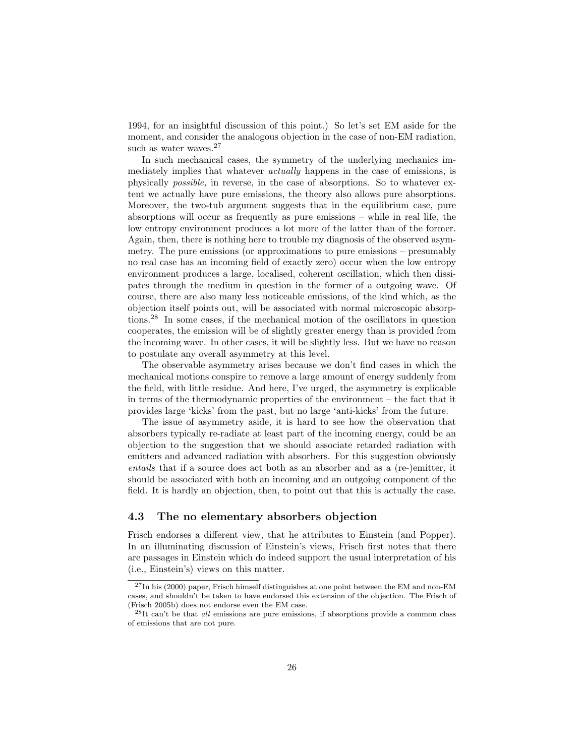1994, for an insightful discussion of this point.) So let's set EM aside for the moment, and consider the analogous objection in the case of non-EM radiation, such as water waves.  $^{27}$ 

In such mechanical cases, the symmetry of the underlying mechanics immediately implies that whatever actually happens in the case of emissions, is physically possible, in reverse, in the case of absorptions. So to whatever extent we actually have pure emissions, the theory also allows pure absorptions. Moreover, the two-tub argument suggests that in the equilibrium case, pure absorptions will occur as frequently as pure emissions – while in real life, the low entropy environment produces a lot more of the latter than of the former. Again, then, there is nothing here to trouble my diagnosis of the observed asymmetry. The pure emissions (or approximations to pure emissions – presumably no real case has an incoming field of exactly zero) occur when the low entropy environment produces a large, localised, coherent oscillation, which then dissipates through the medium in question in the former of a outgoing wave. Of course, there are also many less noticeable emissions, of the kind which, as the objection itself points out, will be associated with normal microscopic absorptions.<sup>28</sup> In some cases, if the mechanical motion of the oscillators in question cooperates, the emission will be of slightly greater energy than is provided from the incoming wave. In other cases, it will be slightly less. But we have no reason to postulate any overall asymmetry at this level.

The observable asymmetry arises because we don't find cases in which the mechanical motions conspire to remove a large amount of energy suddenly from the field, with little residue. And here, I've urged, the asymmetry is explicable in terms of the thermodynamic properties of the environment – the fact that it provides large 'kicks' from the past, but no large 'anti-kicks' from the future.

The issue of asymmetry aside, it is hard to see how the observation that absorbers typically re-radiate at least part of the incoming energy, could be an objection to the suggestion that we should associate retarded radiation with emitters and advanced radiation with absorbers. For this suggestion obviously entails that if a source does act both as an absorber and as a (re-)emitter, it should be associated with both an incoming and an outgoing component of the field. It is hardly an objection, then, to point out that this is actually the case.

## 4.3 The no elementary absorbers objection

Frisch endorses a different view, that he attributes to Einstein (and Popper). In an illuminating discussion of Einstein's views, Frisch first notes that there are passages in Einstein which do indeed support the usual interpretation of his (i.e., Einstein's) views on this matter.

 $^{27}$ In his (2000) paper, Frisch himself distinguishes at one point between the EM and non-EM cases, and shouldn't be taken to have endorsed this extension of the objection. The Frisch of (Frisch 2005b) does not endorse even the EM case.

 $^{28}$ It can't be that *all* emissions are pure emissions, if absorptions provide a common class of emissions that are not pure.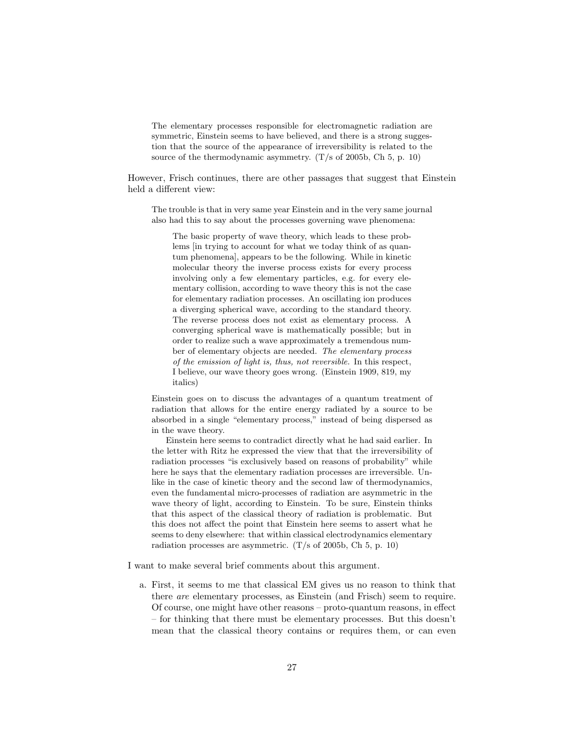The elementary processes responsible for electromagnetic radiation are symmetric, Einstein seems to have believed, and there is a strong suggestion that the source of the appearance of irreversibility is related to the source of the thermodynamic asymmetry.  $(T/s)$  of 2005b, Ch 5, p. 10)

However, Frisch continues, there are other passages that suggest that Einstein held a different view:

The trouble is that in very same year Einstein and in the very same journal also had this to say about the processes governing wave phenomena:

The basic property of wave theory, which leads to these problems [in trying to account for what we today think of as quantum phenomena], appears to be the following. While in kinetic molecular theory the inverse process exists for every process involving only a few elementary particles, e.g. for every elementary collision, according to wave theory this is not the case for elementary radiation processes. An oscillating ion produces a diverging spherical wave, according to the standard theory. The reverse process does not exist as elementary process. A converging spherical wave is mathematically possible; but in order to realize such a wave approximately a tremendous number of elementary objects are needed. The elementary process of the emission of light is, thus, not reversible. In this respect, I believe, our wave theory goes wrong. (Einstein 1909, 819, my italics)

Einstein goes on to discuss the advantages of a quantum treatment of radiation that allows for the entire energy radiated by a source to be absorbed in a single "elementary process," instead of being dispersed as in the wave theory.

Einstein here seems to contradict directly what he had said earlier. In the letter with Ritz he expressed the view that that the irreversibility of radiation processes "is exclusively based on reasons of probability" while here he says that the elementary radiation processes are irreversible. Unlike in the case of kinetic theory and the second law of thermodynamics, even the fundamental micro-processes of radiation are asymmetric in the wave theory of light, according to Einstein. To be sure, Einstein thinks that this aspect of the classical theory of radiation is problematic. But this does not affect the point that Einstein here seems to assert what he seems to deny elsewhere: that within classical electrodynamics elementary radiation processes are asymmetric. (T/s of 2005b, Ch 5, p. 10)

I want to make several brief comments about this argument.

a. First, it seems to me that classical EM gives us no reason to think that there are elementary processes, as Einstein (and Frisch) seem to require. Of course, one might have other reasons – proto-quantum reasons, in effect – for thinking that there must be elementary processes. But this doesn't mean that the classical theory contains or requires them, or can even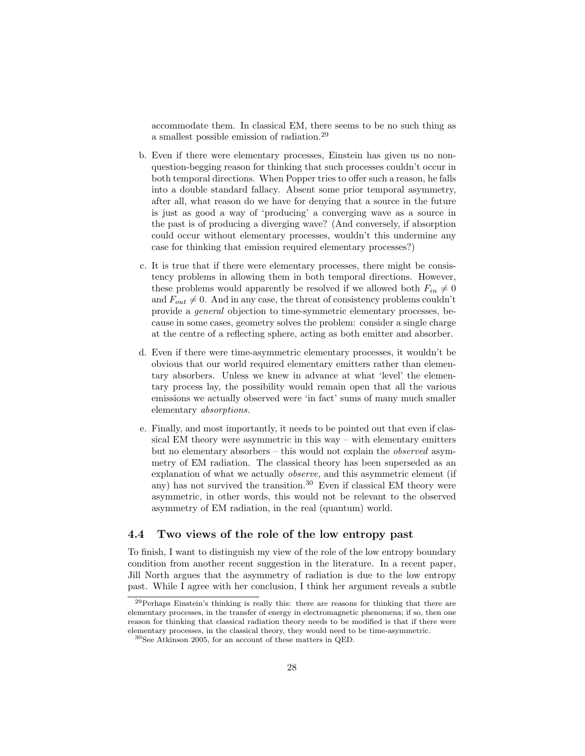accommodate them. In classical EM, there seems to be no such thing as a smallest possible emission of radiation.<sup>29</sup>

- b. Even if there were elementary processes, Einstein has given us no nonquestion-begging reason for thinking that such processes couldn't occur in both temporal directions. When Popper tries to offer such a reason, he falls into a double standard fallacy. Absent some prior temporal asymmetry, after all, what reason do we have for denying that a source in the future is just as good a way of 'producing' a converging wave as a source in the past is of producing a diverging wave? (And conversely, if absorption could occur without elementary processes, wouldn't this undermine any case for thinking that emission required elementary processes?)
- c. It is true that if there were elementary processes, there might be consistency problems in allowing them in both temporal directions. However, these problems would apparently be resolved if we allowed both  $F_{in} \neq 0$ and  $F_{out} \neq 0$ . And in any case, the threat of consistency problems couldn't provide a general objection to time-symmetric elementary processes, because in some cases, geometry solves the problem: consider a single charge at the centre of a reflecting sphere, acting as both emitter and absorber.
- d. Even if there were time-asymmetric elementary processes, it wouldn't be obvious that our world required elementary emitters rather than elementary absorbers. Unless we knew in advance at what 'level' the elementary process lay, the possibility would remain open that all the various emissions we actually observed were 'in fact' sums of many much smaller elementary absorptions.
- e. Finally, and most importantly, it needs to be pointed out that even if classical EM theory were asymmetric in this way – with elementary emitters but no elementary absorbers – this would not explain the observed asymmetry of EM radiation. The classical theory has been superseded as an explanation of what we actually observe, and this asymmetric element (if any) has not survived the transition.<sup>30</sup> Even if classical EM theory were asymmetric, in other words, this would not be relevant to the observed asymmetry of EM radiation, in the real (quantum) world.

### 4.4 Two views of the role of the low entropy past

To finish, I want to distinguish my view of the role of the low entropy boundary condition from another recent suggestion in the literature. In a recent paper, Jill North argues that the asymmetry of radiation is due to the low entropy past. While I agree with her conclusion, I think her argument reveals a subtle

<sup>29</sup>Perhaps Einstein's thinking is really this: there are reasons for thinking that there are elementary processes, in the transfer of energy in electromagnetic phenomena; if so, then one reason for thinking that classical radiation theory needs to be modified is that if there were elementary processes, in the classical theory, they would need to be time-asymmetric.

<sup>30</sup>See Atkinson 2005, for an account of these matters in QED.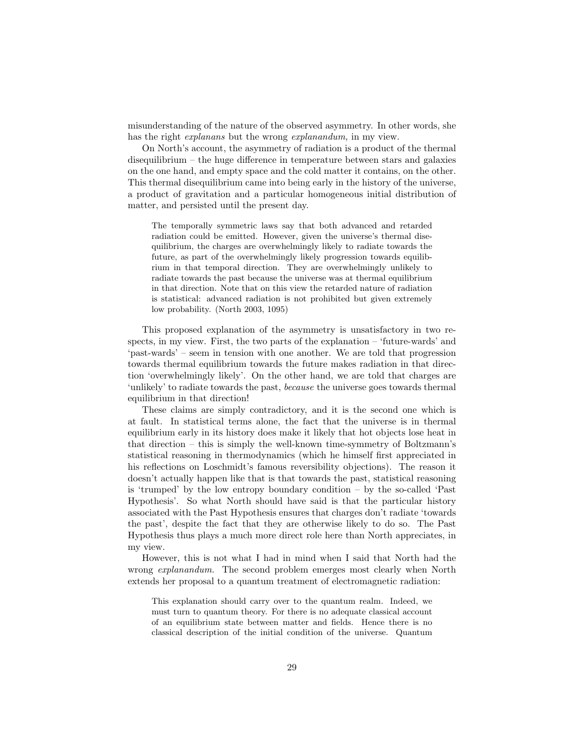misunderstanding of the nature of the observed asymmetry. In other words, she has the right explanans but the wrong explanandum, in my view.

On North's account, the asymmetry of radiation is a product of the thermal disequilibrium – the huge difference in temperature between stars and galaxies on the one hand, and empty space and the cold matter it contains, on the other. This thermal disequilibrium came into being early in the history of the universe, a product of gravitation and a particular homogeneous initial distribution of matter, and persisted until the present day.

The temporally symmetric laws say that both advanced and retarded radiation could be emitted. However, given the universe's thermal disequilibrium, the charges are overwhelmingly likely to radiate towards the future, as part of the overwhelmingly likely progression towards equilibrium in that temporal direction. They are overwhelmingly unlikely to radiate towards the past because the universe was at thermal equilibrium in that direction. Note that on this view the retarded nature of radiation is statistical: advanced radiation is not prohibited but given extremely low probability. (North 2003, 1095)

This proposed explanation of the asymmetry is unsatisfactory in two respects, in my view. First, the two parts of the explanation – 'future-wards' and 'past-wards' – seem in tension with one another. We are told that progression towards thermal equilibrium towards the future makes radiation in that direction 'overwhelmingly likely'. On the other hand, we are told that charges are 'unlikely' to radiate towards the past, because the universe goes towards thermal equilibrium in that direction!

These claims are simply contradictory, and it is the second one which is at fault. In statistical terms alone, the fact that the universe is in thermal equilibrium early in its history does make it likely that hot objects lose heat in that direction – this is simply the well-known time-symmetry of Boltzmann's statistical reasoning in thermodynamics (which he himself first appreciated in his reflections on Loschmidt's famous reversibility objections). The reason it doesn't actually happen like that is that towards the past, statistical reasoning is 'trumped' by the low entropy boundary condition – by the so-called 'Past Hypothesis'. So what North should have said is that the particular history associated with the Past Hypothesis ensures that charges don't radiate 'towards the past', despite the fact that they are otherwise likely to do so. The Past Hypothesis thus plays a much more direct role here than North appreciates, in my view.

However, this is not what I had in mind when I said that North had the wrong explanandum. The second problem emerges most clearly when North extends her proposal to a quantum treatment of electromagnetic radiation:

This explanation should carry over to the quantum realm. Indeed, we must turn to quantum theory. For there is no adequate classical account of an equilibrium state between matter and fields. Hence there is no classical description of the initial condition of the universe. Quantum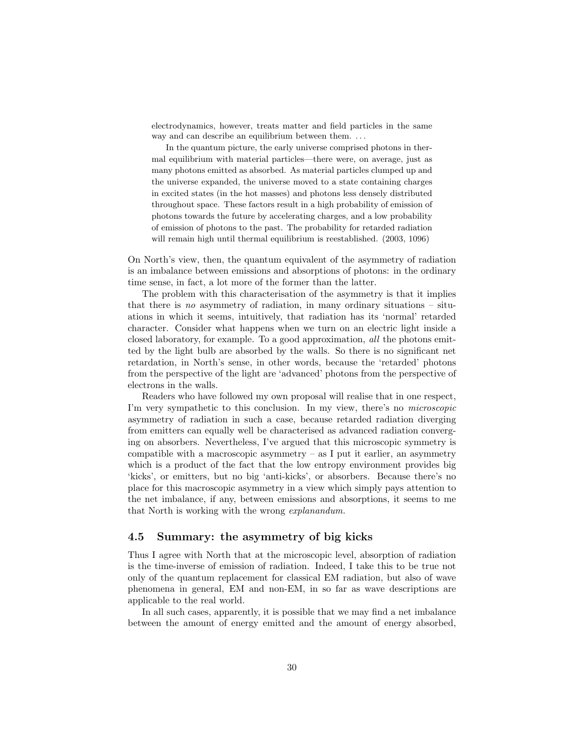electrodynamics, however, treats matter and field particles in the same way and can describe an equilibrium between them. ...

In the quantum picture, the early universe comprised photons in thermal equilibrium with material particles—there were, on average, just as many photons emitted as absorbed. As material particles clumped up and the universe expanded, the universe moved to a state containing charges in excited states (in the hot masses) and photons less densely distributed throughout space. These factors result in a high probability of emission of photons towards the future by accelerating charges, and a low probability of emission of photons to the past. The probability for retarded radiation will remain high until thermal equilibrium is reestablished. (2003, 1096)

On North's view, then, the quantum equivalent of the asymmetry of radiation is an imbalance between emissions and absorptions of photons: in the ordinary time sense, in fact, a lot more of the former than the latter.

The problem with this characterisation of the asymmetry is that it implies that there is no asymmetry of radiation, in many ordinary situations  $-$  situations in which it seems, intuitively, that radiation has its 'normal' retarded character. Consider what happens when we turn on an electric light inside a closed laboratory, for example. To a good approximation, all the photons emitted by the light bulb are absorbed by the walls. So there is no significant net retardation, in North's sense, in other words, because the 'retarded' photons from the perspective of the light are 'advanced' photons from the perspective of electrons in the walls.

Readers who have followed my own proposal will realise that in one respect, I'm very sympathetic to this conclusion. In my view, there's no microscopic asymmetry of radiation in such a case, because retarded radiation diverging from emitters can equally well be characterised as advanced radiation converging on absorbers. Nevertheless, I've argued that this microscopic symmetry is compatible with a macroscopic asymmetry – as I put it earlier, an asymmetry which is a product of the fact that the low entropy environment provides big 'kicks', or emitters, but no big 'anti-kicks', or absorbers. Because there's no place for this macroscopic asymmetry in a view which simply pays attention to the net imbalance, if any, between emissions and absorptions, it seems to me that North is working with the wrong explanandum.

#### 4.5 Summary: the asymmetry of big kicks

Thus I agree with North that at the microscopic level, absorption of radiation is the time-inverse of emission of radiation. Indeed, I take this to be true not only of the quantum replacement for classical EM radiation, but also of wave phenomena in general, EM and non-EM, in so far as wave descriptions are applicable to the real world.

In all such cases, apparently, it is possible that we may find a net imbalance between the amount of energy emitted and the amount of energy absorbed,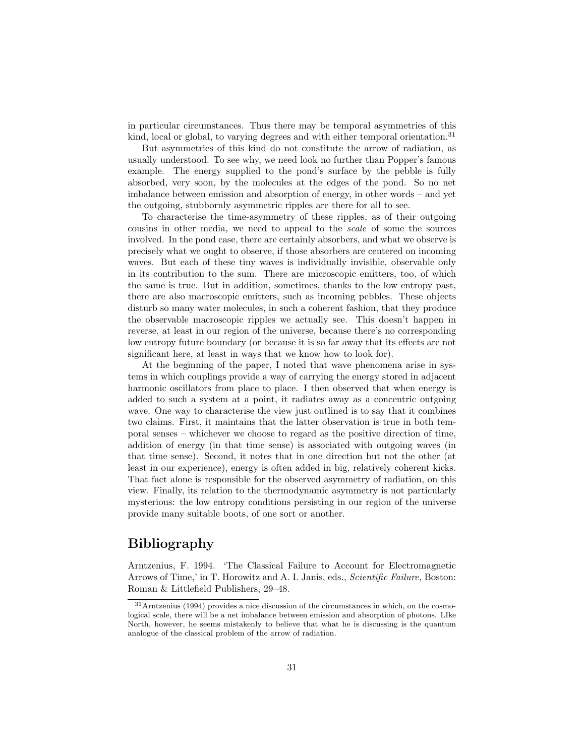in particular circumstances. Thus there may be temporal asymmetries of this kind, local or global, to varying degrees and with either temporal orientation.<sup>31</sup>

But asymmetries of this kind do not constitute the arrow of radiation, as usually understood. To see why, we need look no further than Popper's famous example. The energy supplied to the pond's surface by the pebble is fully absorbed, very soon, by the molecules at the edges of the pond. So no net imbalance between emission and absorption of energy, in other words – and yet the outgoing, stubbornly asymmetric ripples are there for all to see.

To characterise the time-asymmetry of these ripples, as of their outgoing cousins in other media, we need to appeal to the scale of some the sources involved. In the pond case, there are certainly absorbers, and what we observe is precisely what we ought to observe, if those absorbers are centered on incoming waves. But each of these tiny waves is individually invisible, observable only in its contribution to the sum. There are microscopic emitters, too, of which the same is true. But in addition, sometimes, thanks to the low entropy past, there are also macroscopic emitters, such as incoming pebbles. These objects disturb so many water molecules, in such a coherent fashion, that they produce the observable macroscopic ripples we actually see. This doesn't happen in reverse, at least in our region of the universe, because there's no corresponding low entropy future boundary (or because it is so far away that its effects are not significant here, at least in ways that we know how to look for).

At the beginning of the paper, I noted that wave phenomena arise in systems in which couplings provide a way of carrying the energy stored in adjacent harmonic oscillators from place to place. I then observed that when energy is added to such a system at a point, it radiates away as a concentric outgoing wave. One way to characterise the view just outlined is to say that it combines two claims. First, it maintains that the latter observation is true in both temporal senses – whichever we choose to regard as the positive direction of time, addition of energy (in that time sense) is associated with outgoing waves (in that time sense). Second, it notes that in one direction but not the other (at least in our experience), energy is often added in big, relatively coherent kicks. That fact alone is responsible for the observed asymmetry of radiation, on this view. Finally, its relation to the thermodynamic asymmetry is not particularly mysterious: the low entropy conditions persisting in our region of the universe provide many suitable boots, of one sort or another.

# Bibliography

Arntzenius, F. 1994. 'The Classical Failure to Account for Electromagnetic Arrows of Time,' in T. Horowitz and A. I. Janis, eds., Scientific Failure, Boston: Roman & Littlefield Publishers, 29–48.

<sup>31</sup>Arntzenius (1994) provides a nice discussion of the circumstances in which, on the cosmological scale, there will be a net imbalance between emission and absorption of photons. LIke North, however, he seems mistakenly to believe that what he is discussing is the quantum analogue of the classical problem of the arrow of radiation.